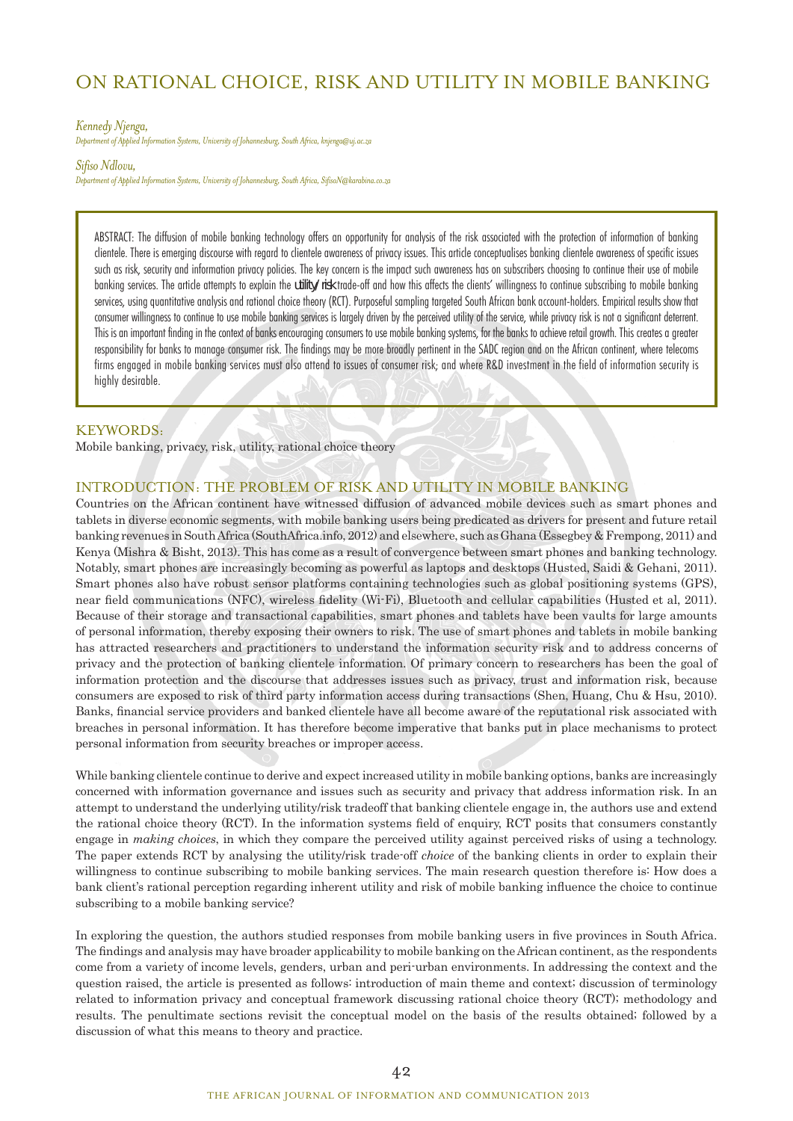# ON RATIONAL CHOICE, RISK AND UTILITY IN MOBILE BANKING

#### *Kennedy Njenga,*

*Department of Applied Information Systems, University of Johannesburg, South Africa, knjenga@uj.ac.za* 

#### *Sifiso Ndlovu,*

*Department of Applied Information Systems, University of Johannesburg, South Africa, SifisoN@karabina.co.za*

ABSTRACT: The diffusion of mobile banking technology offers an opportunity for analysis of the risk associated with the protection of information of banking clientele. There is emerging discourse with regard to clientele awareness of privacy issues. This article conceptualises banking clientele awareness of specific issues such as risk, security and information privacy policies. The key concern is the impact such awareness has on subscribers choosing to continue their use of mobile banking services. The article attempts to explain the *utility/risk* trade-off and how this affects the clients' willingness to continue subscribing to mobile banking services, using quantitative analysis and rational choice theory (RCT). Purposeful sampling targeted South African bank account-holders. Empirical results show that consumer willingness to continue to use mobile banking services is largely driven by the perceived utility of the service, while privacy risk is not a significant deterrent. This is an important finding in the context of banks encouraging consumers to use mobile banking systems, for the banks to achieve retail growth. This creates a greater responsibility for banks to manage consumer risk. The findings may be more broadly pertinent in the SADC region and on the African continent, where telecoms firms engaged in mobile banking services must also attend to issues of consumer risk; and where R&D investment in the field of information security is highly desirable.

## KEYWORDS:

Mobile banking, privacy, risk, utility, rational choice theory

## INTRODUCTION: THE PROBLEM OF RISK AND UTILITY IN MOBILE BANKING

Countries on the African continent have witnessed diffusion of advanced mobile devices such as smart phones and tablets in diverse economic segments, with mobile banking users being predicated as drivers for present and future retail banking revenues in South Africa (SouthAfrica.info, 2012) and elsewhere, such as Ghana (Essegbey & Frempong, 2011) and Kenya (Mishra & Bisht, 2013). This has come as a result of convergence between smart phones and banking technology. Notably, smart phones are increasingly becoming as powerful as laptops and desktops (Husted, Saidi & Gehani, 2011). Smart phones also have robust sensor platforms containing technologies such as global positioning systems (GPS), near field communications (NFC), wireless fidelity (Wi-Fi), Bluetooth and cellular capabilities (Husted et al, 2011). Because of their storage and transactional capabilities, smart phones and tablets have been vaults for large amounts of personal information, thereby exposing their owners to risk. The use of smart phones and tablets in mobile banking has attracted researchers and practitioners to understand the information security risk and to address concerns of privacy and the protection of banking clientele information. Of primary concern to researchers has been the goal of information protection and the discourse that addresses issues such as privacy, trust and information risk, because consumers are exposed to risk of third party information access during transactions (Shen, Huang, Chu & Hsu, 2010). Banks, financial service providers and banked clientele have all become aware of the reputational risk associated with breaches in personal information. It has therefore become imperative that banks put in place mechanisms to protect personal information from security breaches or improper access.

While banking clientele continue to derive and expect increased utility in mobile banking options, banks are increasingly concerned with information governance and issues such as security and privacy that address information risk. In an attempt to understand the underlying utility/risk tradeoff that banking clientele engage in, the authors use and extend the rational choice theory (RCT). In the information systems field of enquiry, RCT posits that consumers constantly engage in *making choices*, in which they compare the perceived utility against perceived risks of using a technology. The paper extends RCT by analysing the utility/risk trade-off *choice* of the banking clients in order to explain their willingness to continue subscribing to mobile banking services. The main research question therefore is: How does a bank client's rational perception regarding inherent utility and risk of mobile banking influence the choice to continue subscribing to a mobile banking service?

In exploring the question, the authors studied responses from mobile banking users in five provinces in South Africa. The findings and analysis may have broader applicability to mobile banking on the African continent, as the respondents come from a variety of income levels, genders, urban and peri-urban environments. In addressing the context and the question raised, the article is presented as follows: introduction of main theme and context; discussion of terminology related to information privacy and conceptual framework discussing rational choice theory (RCT); methodology and results. The penultimate sections revisit the conceptual model on the basis of the results obtained; followed by a discussion of what this means to theory and practice.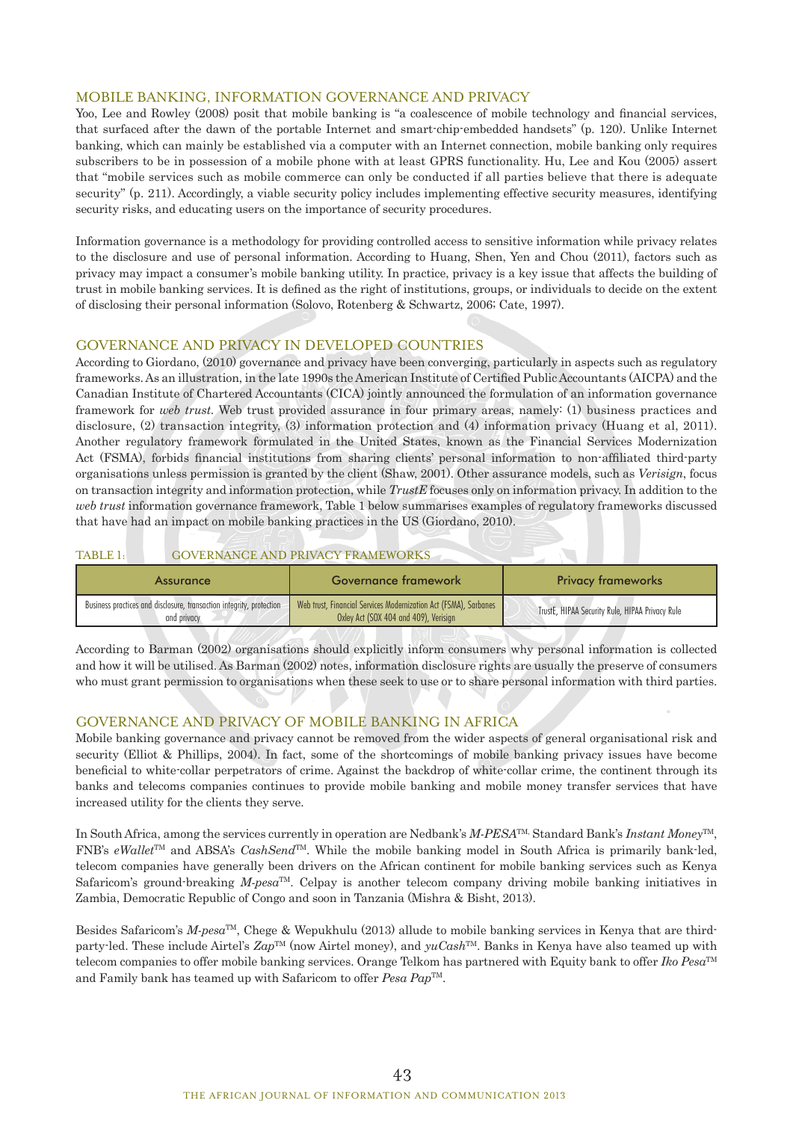## MOBILE BANKING, INFORMATION GOVERNANCE AND PRIVACY

Yoo, Lee and Rowley (2008) posit that mobile banking is "a coalescence of mobile technology and financial services, that surfaced after the dawn of the portable Internet and smart-chip-embedded handsets" (p. 120). Unlike Internet banking, which can mainly be established via a computer with an Internet connection, mobile banking only requires subscribers to be in possession of a mobile phone with at least GPRS functionality. Hu, Lee and Kou (2005) assert that "mobile services such as mobile commerce can only be conducted if all parties believe that there is adequate security" (p. 211). Accordingly, a viable security policy includes implementing effective security measures, identifying security risks, and educating users on the importance of security procedures.

Information governance is a methodology for providing controlled access to sensitive information while privacy relates to the disclosure and use of personal information. According to Huang, Shen, Yen and Chou (2011), factors such as privacy may impact a consumer's mobile banking utility. In practice, privacy is a key issue that affects the building of trust in mobile banking services. It is defined as the right of institutions, groups, or individuals to decide on the extent of disclosing their personal information (Solovo, Rotenberg & Schwartz, 2006; Cate, 1997).

## GOVERNANCE AND PRIVACY IN DEVELOPED COUNTRIES

According to Giordano, (2010) governance and privacy have been converging, particularly in aspects such as regulatory frameworks. As an illustration, in the late 1990s the American Institute of Certified Public Accountants (AICPA) and the Canadian Institute of Chartered Accountants (CICA) jointly announced the formulation of an information governance framework for *web trust*. Web trust provided assurance in four primary areas, namely: (1) business practices and disclosure, (2) transaction integrity, (3) information protection and (4) information privacy (Huang et al, 2011). Another regulatory framework formulated in the United States, known as the Financial Services Modernization Act (FSMA), forbids financial institutions from sharing clients' personal information to non-affiliated third-party organisations unless permission is granted by the client (Shaw, 2001). Other assurance models, such as *Verisign*, focus on transaction integrity and information protection, while *TrustE* focuses only on information privacy. In addition to the *web trust* information governance framework, Table 1 below summarises examples of regulatory frameworks discussed that have had an impact on mobile banking practices in the US (Giordano, 2010).

## TABLE 1: GOVERNANCE AND PRIVACY FRAMEWORKS

| Assurance                                                                           | Governance framework                                                                                      | <b>Privacy frameworks</b>                       |
|-------------------------------------------------------------------------------------|-----------------------------------------------------------------------------------------------------------|-------------------------------------------------|
| Business practices and disclosure, transaction integrity, protection<br>and privacy | Web trust. Financial Services Modernization Act (FSMA). Sarbanes<br>Oxley Act (SOX 404 and 409), Verisian | TrustE, HIPAA Security Rule, HIPAA Privacy Rule |

According to Barman (2002) organisations should explicitly inform consumers why personal information is collected and how it will be utilised. As Barman (2002) notes, information disclosure rights are usually the preserve of consumers who must grant permission to organisations when these seek to use or to share personal information with third parties.

## GOVERNANCE AND PRIVACY OF MOBILE BANKING IN AFRICA

Mobile banking governance and privacy cannot be removed from the wider aspects of general organisational risk and security (Elliot & Phillips, 2004). In fact, some of the shortcomings of mobile banking privacy issues have become beneficial to white-collar perpetrators of crime. Against the backdrop of white-collar crime, the continent through its banks and telecoms companies continues to provide mobile banking and mobile money transfer services that have increased utility for the clients they serve.

In South Africa, among the services currently in operation are Nedbank's *M-PESA*TM, Standard Bank's *Instant Money*TM, FNB's *eWallet*TM and ABSA's *CashSend*TM. While the mobile banking model in South Africa is primarily bank-led, telecom companies have generally been drivers on the African continent for mobile banking services such as Kenya Safaricom's ground-breaking *M-pesa*TM. Celpay is another telecom company driving mobile banking initiatives in Zambia, Democratic Republic of Congo and soon in Tanzania (Mishra & Bisht, 2013).

Besides Safaricom's *M-pesa*TM, Chege & Wepukhulu (2013) allude to mobile banking services in Kenya that are thirdparty-led. These include Airtel's *Zap*TM (now Airtel money), and *yuCash*TM. Banks in Kenya have also teamed up with telecom companies to offer mobile banking services. Orange Telkom has partnered with Equity bank to offer *Iko Pesa*TM and Family bank has teamed up with Safaricom to offer *Pesa Pap*<sup>™</sup>.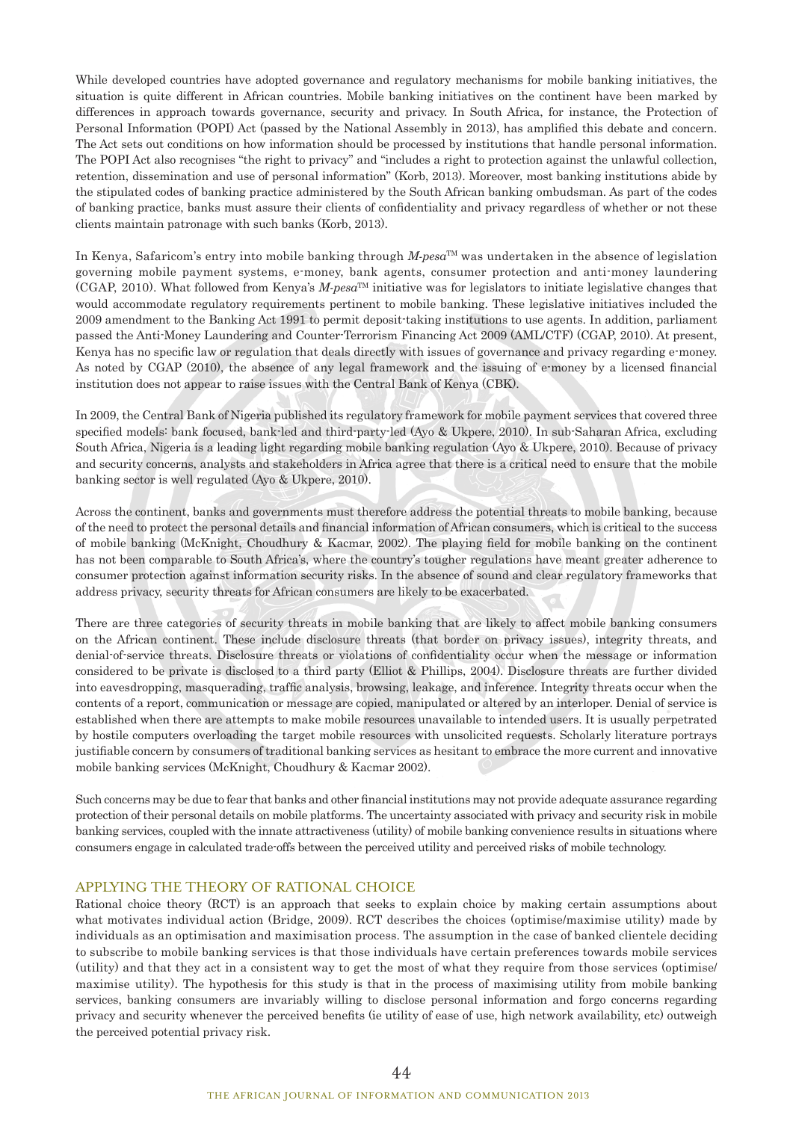While developed countries have adopted governance and regulatory mechanisms for mobile banking initiatives, the situation is quite different in African countries. Mobile banking initiatives on the continent have been marked by differences in approach towards governance, security and privacy. In South Africa, for instance, the Protection of Personal Information (POPI) Act (passed by the National Assembly in 2013), has amplified this debate and concern. The Act sets out conditions on how information should be processed by institutions that handle personal information. The POPI Act also recognises "the right to privacy" and "includes a right to protection against the unlawful collection, retention, dissemination and use of personal information" (Korb, 2013). Moreover, most banking institutions abide by the stipulated codes of banking practice administered by the South African banking ombudsman. As part of the codes of banking practice, banks must assure their clients of confidentiality and privacy regardless of whether or not these clients maintain patronage with such banks (Korb, 2013).

In Kenya, Safaricom's entry into mobile banking through *M-pesa*TM was undertaken in the absence of legislation governing mobile payment systems, e-money, bank agents, consumer protection and anti-money laundering  $(CGAP, 2010)$ . What followed from Kenya's *M-pesa*<sup>TM</sup> initiative was for legislators to initiate legislative changes that would accommodate regulatory requirements pertinent to mobile banking. These legislative initiatives included the 2009 amendment to the Banking Act 1991 to permit deposit-taking institutions to use agents. In addition, parliament passed the Anti-Money Laundering and Counter-Terrorism Financing Act 2009 (AML/CTF) (CGAP, 2010). At present, Kenya has no specific law or regulation that deals directly with issues of governance and privacy regarding e-money. As noted by CGAP (2010), the absence of any legal framework and the issuing of e-money by a licensed financial institution does not appear to raise issues with the Central Bank of Kenya (CBK).

In 2009, the Central Bank of Nigeria published its regulatory framework for mobile payment services that covered three specified models: bank focused, bank-led and third-party-led (Ayo & Ukpere, 2010). In sub-Saharan Africa, excluding South Africa, Nigeria is a leading light regarding mobile banking regulation (Ayo & Ukpere, 2010). Because of privacy and security concerns, analysts and stakeholders in Africa agree that there is a critical need to ensure that the mobile banking sector is well regulated (Ayo & Ukpere, 2010).

Across the continent, banks and governments must therefore address the potential threats to mobile banking, because of the need to protect the personal details and financial information of African consumers, which is critical to the success of mobile banking (McKnight, Choudhury & Kacmar, 2002). The playing field for mobile banking on the continent has not been comparable to South Africa's, where the country's tougher regulations have meant greater adherence to consumer protection against information security risks. In the absence of sound and clear regulatory frameworks that address privacy, security threats for African consumers are likely to be exacerbated.

There are three categories of security threats in mobile banking that are likely to affect mobile banking consumers on the African continent. These include disclosure threats (that border on privacy issues), integrity threats, and denial-of-service threats. Disclosure threats or violations of confidentiality occur when the message or information considered to be private is disclosed to a third party (Elliot & Phillips, 2004). Disclosure threats are further divided into eavesdropping, masquerading, traffic analysis, browsing, leakage, and inference. Integrity threats occur when the contents of a report, communication or message are copied, manipulated or altered by an interloper. Denial of service is established when there are attempts to make mobile resources unavailable to intended users. It is usually perpetrated by hostile computers overloading the target mobile resources with unsolicited requests. Scholarly literature portrays justifiable concern by consumers of traditional banking services as hesitant to embrace the more current and innovative mobile banking services (McKnight, Choudhury & Kacmar 2002).

Such concerns may be due to fear that banks and other financial institutions may not provide adequate assurance regarding protection of their personal details on mobile platforms. The uncertainty associated with privacy and security risk in mobile banking services, coupled with the innate attractiveness (utility) of mobile banking convenience results in situations where consumers engage in calculated trade-offs between the perceived utility and perceived risks of mobile technology.

#### APPLYING THE THEORY OF RATIONAL CHOICE

Rational choice theory (RCT) is an approach that seeks to explain choice by making certain assumptions about what motivates individual action (Bridge, 2009). RCT describes the choices (optimise/maximise utility) made by individuals as an optimisation and maximisation process. The assumption in the case of banked clientele deciding to subscribe to mobile banking services is that those individuals have certain preferences towards mobile services (utility) and that they act in a consistent way to get the most of what they require from those services (optimise/ maximise utility). The hypothesis for this study is that in the process of maximising utility from mobile banking services, banking consumers are invariably willing to disclose personal information and forgo concerns regarding privacy and security whenever the perceived benefits (ie utility of ease of use, high network availability, etc) outweigh the perceived potential privacy risk.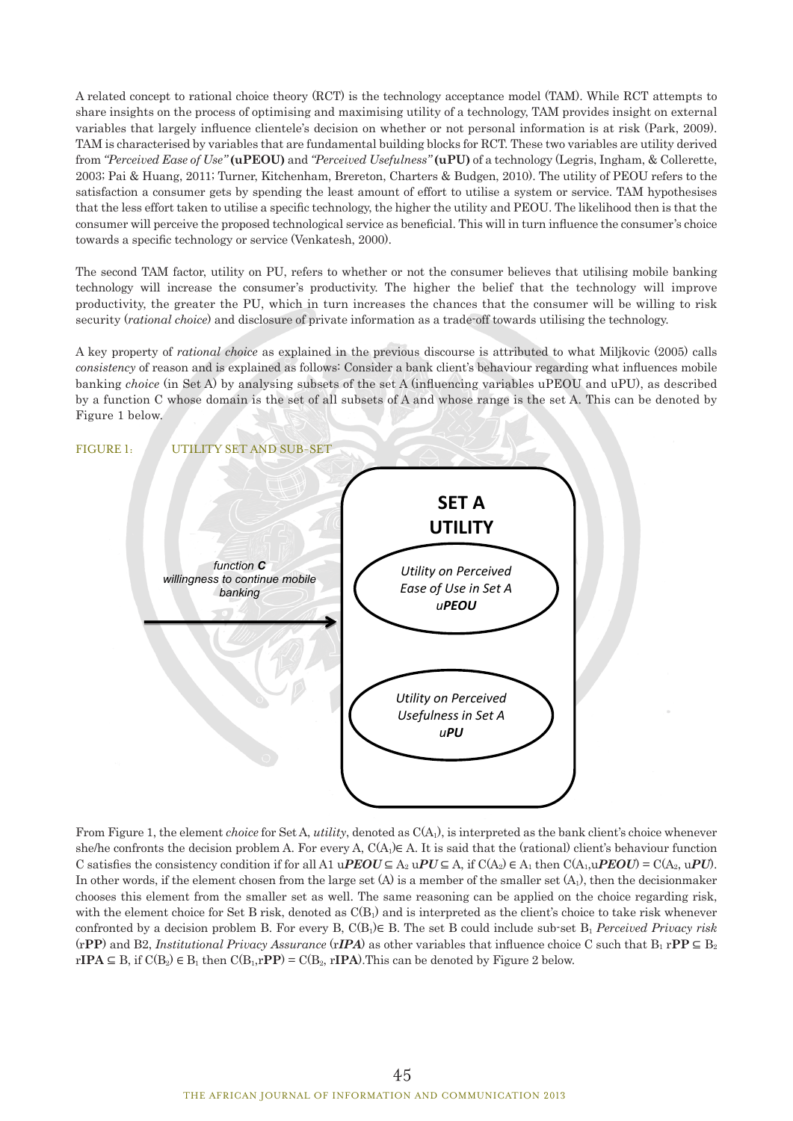A related concept to rational choice theory (RCT) is the technology acceptance model (TAM). While RCT attempts to share insights on the process of optimising and maximising utility of a technology, TAM provides insight on external variables that largely influence clientele's decision on whether or not personal information is at risk (Park, 2009). TAM is characterised by variables that are fundamental building blocks for RCT. These two variables are utility derived from *"Perceived Ease of Use"* **(uPEOU)** and *"Perceived Usefulness"* **(uPU)** of a technology (Legris, Ingham, & Collerette, 2003; Pai & Huang, 2011; Turner, Kitchenham, Brereton, Charters & Budgen, 2010). The utility of PEOU refers to the satisfaction a consumer gets by spending the least amount of effort to utilise a system or service. TAM hypothesises that the less effort taken to utilise a specific technology, the higher the utility and PEOU. The likelihood then is that the consumer will perceive the proposed technological service as beneficial. This will in turn influence the consumer's choice towards a specific technology or service (Venkatesh, 2000).

The second TAM factor, utility on PU, refers to whether or not the consumer believes that utilising mobile banking technology will increase the consumer's productivity. The higher the belief that the technology will improve productivity, the greater the PU, which in turn increases the chances that the consumer will be willing to risk security (*rational choice*) and disclosure of private information as a trade-off towards utilising the technology.

A key property of *rational choice* as explained in the previous discourse is attributed to what Miljkovic (2005) calls *consistency* of reason and is explained as follows: Consider a bank client's behaviour regarding what influences mobile banking *choice* (in Set A) by analysing subsets of the set A (influencing variables uPEOU and uPU), as described by a function C whose domain is the set of all subsets of A and whose range is the set A. This can be denoted by Figure 1 below.



From Figure 1, the element *choice* for Set A, *utility*, denoted as  $C(A<sub>1</sub>)$ , is interpreted as the bank client's choice whenever she/he confronts the decision problem A. For every A,  $C(A_1) \in A$ . It is said that the (rational) client's behaviour function C satisfies the consistency condition if for all A1 uPEOU  $\subseteq A_2$  uPU  $\subseteq A$ , if  $C(A_2) \in A_1$  then  $C(A_1, u{\text{\it PEOU}}) = C(A_2, u{\text{\it PU}})$ . In other words, if the element chosen from the large set  $(A)$  is a member of the smaller set  $(A<sub>1</sub>)$ , then the decisionmaker chooses this element from the smaller set as well. The same reasoning can be applied on the choice regarding risk, with the element choice for Set B risk, denoted as  $C(B_1)$  and is interpreted as the client's choice to take risk whenever confronted by a decision problem B. For every B, C(B1)∈ B. The set B could include sub-set B1 *Perceived Privacy risk*   $(rPP)$  and B2, *Institutional Privacy Assurance*  $(rIPA)$  as other variables that influence choice C such that  $B_1 rPP \subseteq B_2$  $r**IPA** ⊆ B, if  $C(B_2) \in B_1$  then  $C(B_1, rPP) = C(B_2, rIPA)$ . This can be denoted by Figure 2 below.$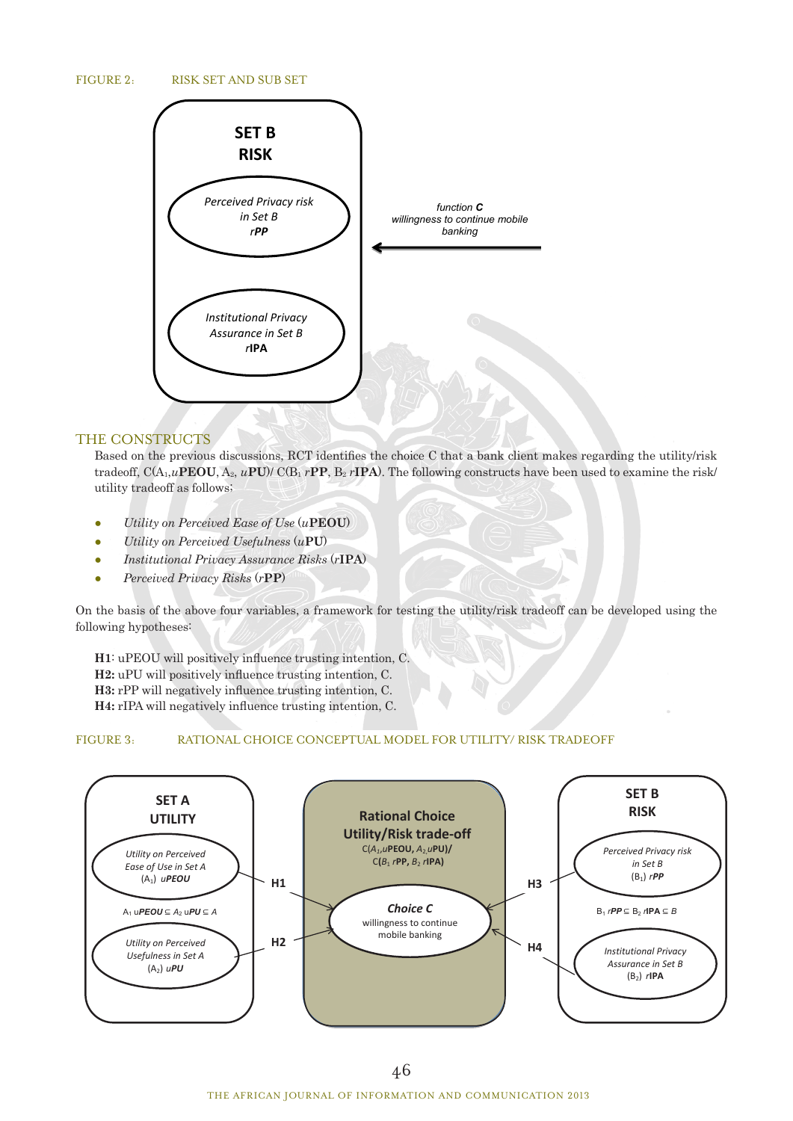### FIGURE 2: RISK SET AND SUB SET



## THE CONSTRUCTS

Based on the previous discussions, RCT identifies the choice C that a bank client makes regarding the utility/risk tradeoff,  $C(A_1, uPEOU, A_2, uPU)/C(B_1 rPP, B_2 rIPA)$ . The following constructs have been used to examine the risk/ utility tradeoff as follows;

- *Utility on Perceived Ease of Use* (*u***PEOU**)
- *Utility on Perceived Usefulness* (*u***PU**)
- *Institutional Privacy Assurance Risks* (*r***IPA**)
- *Perceived Privacy Risks* (*r***PP**)

On the basis of the above four variables, a framework for testing the utility/risk tradeoff can be developed using the following hypotheses:

**H1**: uPEOU will positively influence trusting intention, C.

**H2:** uPU will positively influence trusting intention, C.

**H3:** rPP will negatively influence trusting intention, C.

**H4:** rIPA will negatively influence trusting intention, C.

#### FIGURE 3: RATIONAL CHOICE CONCEPTUAL MODEL FOR UTILITY/ RISK TRADEOFF

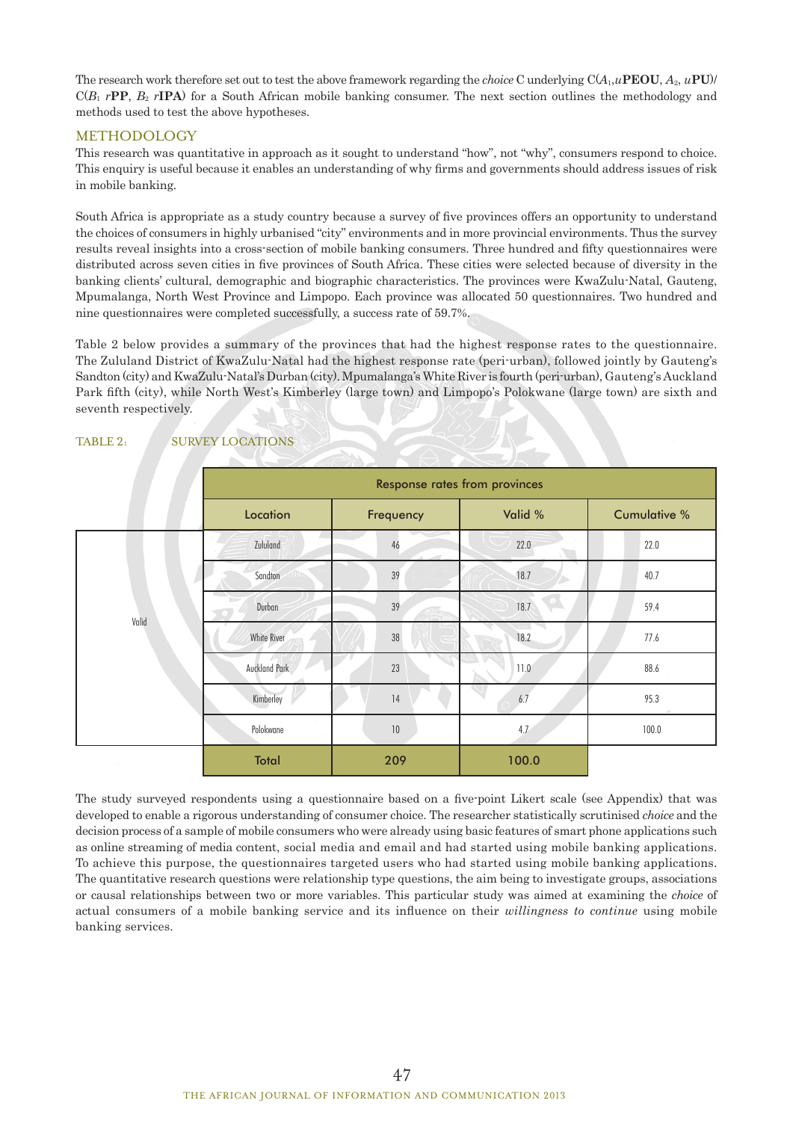The research work therefore set out to test the above framework regarding the *choice* C underlying C(*A*1,*u***PEOU**, *A*2, *u***PU**)/  $C(B_1 rPP, B_2 rIPA)$  for a South African mobile banking consumer. The next section outlines the methodology and methods used to test the above hypotheses.

## **METHODOLOGY**

This research was quantitative in approach as it sought to understand "how", not "why", consumers respond to choice. This enquiry is useful because it enables an understanding of why firms and governments should address issues of risk in mobile banking.

South Africa is appropriate as a study country because a survey of five provinces offers an opportunity to understand the choices of consumers in highly urbanised "city" environments and in more provincial environments. Thus the survey results reveal insights into a cross-section of mobile banking consumers. Three hundred and fifty questionnaires were distributed across seven cities in five provinces of South Africa. These cities were selected because of diversity in the banking clients' cultural, demographic and biographic characteristics. The provinces were KwaZulu-Natal, Gauteng, Mpumalanga, North West Province and Limpopo. Each province was allocated 50 questionnaires. Two hundred and nine questionnaires were completed successfully, a success rate of 59.7%.

Table 2 below provides a summary of the provinces that had the highest response rates to the questionnaire. The Zululand District of KwaZulu-Natal had the highest response rate (peri-urban), followed jointly by Gauteng's Sandton (city) and KwaZulu-Natal's Durban (city). Mpumalanga's White River is fourth (peri-urban), Gauteng's Auckland Park fifth (city), while North West's Kimberley (large town) and Limpopo's Polokwane (large town) are sixth and seventh respectively.

|       | <b>Response rates from provinces</b> |           |         |                     |
|-------|--------------------------------------|-----------|---------|---------------------|
|       | Location                             | Frequency | Valid % | <b>Cumulative %</b> |
|       | Zululand                             | 46        | 22.0    | 22.0                |
|       | Sandton                              | 39        | 18.7    | 40.7                |
|       | Durban                               | 39        | 18.7    | 59.4                |
| Valid | White River                          | $38\,$    | 18.2    | 77.6                |
|       | <b>Auckland Park</b>                 | 23        | 11.0    | 88.6                |
|       | Kimberley                            | 14        | 6.7     | 95.3                |
|       | Polokwane                            | $10$      | 4.7     | 100.0               |
|       | Total                                | 209       | 100.0   |                     |

## TABLE 2: SURVEY LOCATIONS

The study surveyed respondents using a questionnaire based on a five-point Likert scale (see Appendix) that was developed to enable a rigorous understanding of consumer choice. The researcher statistically scrutinised *choice* and the decision process of a sample of mobile consumers who were already using basic features of smart phone applications such as online streaming of media content, social media and email and had started using mobile banking applications. To achieve this purpose, the questionnaires targeted users who had started using mobile banking applications. The quantitative research questions were relationship type questions, the aim being to investigate groups, associations or causal relationships between two or more variables. This particular study was aimed at examining the *choice* of actual consumers of a mobile banking service and its influence on their *willingness to continue* using mobile banking services.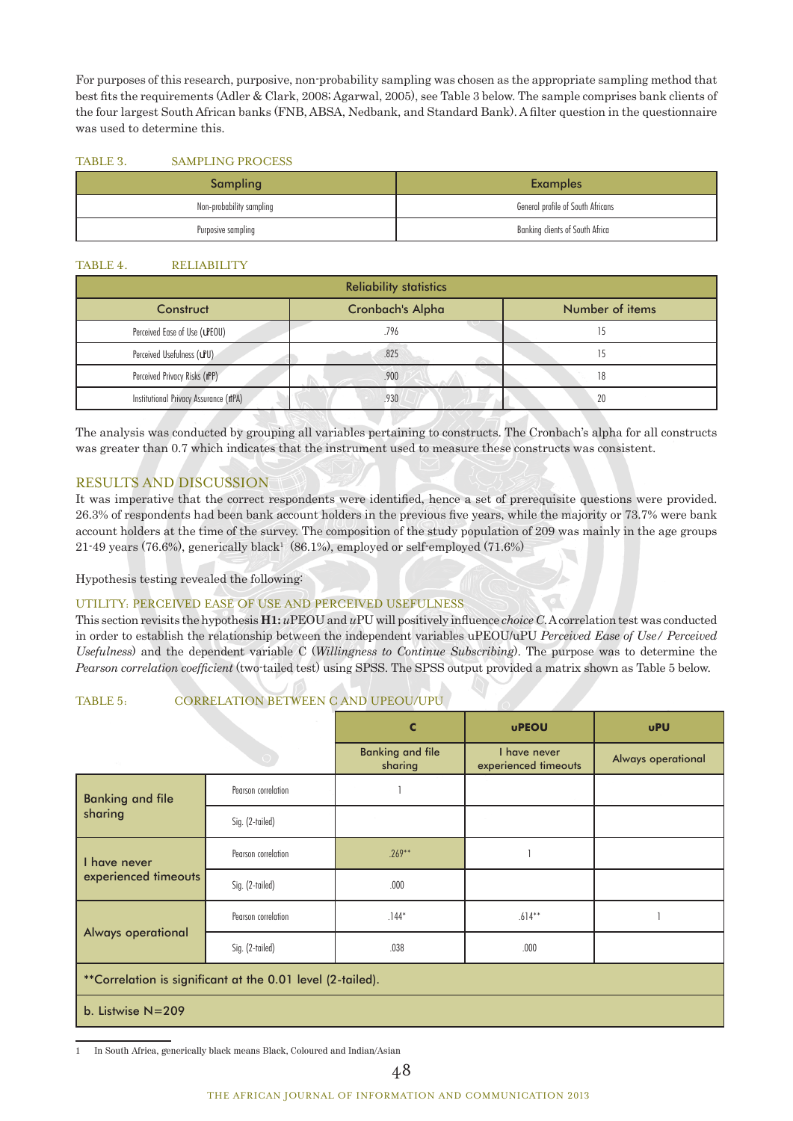For purposes of this research, purposive, non-probability sampling was chosen as the appropriate sampling method that best fits the requirements (Adler & Clark, 2008; Agarwal, 2005), see Table 3 below. The sample comprises bank clients of the four largest South African banks (FNB, ABSA, Nedbank, and Standard Bank). A filter question in the questionnaire was used to determine this.

#### TABLE 3. SAMPLING PROCESS

| Sampling                 | <b>Examples</b>                   |
|--------------------------|-----------------------------------|
| Non-probability sampling | General profile of South Africans |
| Purposive sampling       | Banking clients of South Africa   |

## TABLE 4. RELIABILITY

| <b>Reliability statistics</b>          |      |                 |  |  |  |
|----------------------------------------|------|-----------------|--|--|--|
| <b>Cronbach's Alpha</b><br>Construct   |      | Number of items |  |  |  |
| Perceived Ease of Use (uPEOU)          | .796 |                 |  |  |  |
| Perceived Usefulness (uPU)             | .825 |                 |  |  |  |
| Perceived Privacy Risks (rPP)          | .900 | 18              |  |  |  |
| Institutional Privacy Assurance (rIPA) | .930 | 20              |  |  |  |

The analysis was conducted by grouping all variables pertaining to constructs. The Cronbach's alpha for all constructs was greater than 0.7 which indicates that the instrument used to measure these constructs was consistent.

# RESULTS AND DISCUSSION

It was imperative that the correct respondents were identified, hence a set of prerequisite questions were provided. 26.3% of respondents had been bank account holders in the previous five years, while the majority or 73.7% were bank account holders at the time of the survey. The composition of the study population of 209 was mainly in the age groups 21-49 years (76.6%), generically black<sup>1</sup> (86.1%), employed or self-employed (71.6%)

Hypothesis testing revealed the following:

## UTILITY: PERCEIVED EASE OF USE AND PERCEIVED USEFULNESS

This section revisits the hypothesis **H1:** *u*PEOU and *u*PU will positively influence *choice C*. A correlation test was conducted in order to establish the relationship between the independent variables uPEOU/uPU *Perceived Ease of Use/ Perceived Usefulness*) and the dependent variable C (*Willingness to Continue Subscribing*). The purpose was to determine the *Pearson correlation coefficient* (two-tailed test) using SPSS. The SPSS output provided a matrix shown as Table 5 below.

## TABLE 5: CORRELATION BETWEEN C AND UPEOU/UPU

|                                      |                                                            | C                                  | <b>uPEOU</b>                         | <b>uPU</b>         |
|--------------------------------------|------------------------------------------------------------|------------------------------------|--------------------------------------|--------------------|
|                                      |                                                            | <b>Banking and file</b><br>sharing | I have never<br>experienced timeouts | Always operational |
| <b>Banking and file</b>              | Pearson correlation                                        |                                    |                                      |                    |
| sharing                              | Sig. (2-tailed)                                            |                                    |                                      |                    |
| I have never<br>experienced timeouts | Pearson correlation                                        | $.269**$                           |                                      |                    |
|                                      | Sig. (2-tailed)                                            | .000                               |                                      |                    |
|                                      | Pearson correlation                                        | $.144*$                            | $.614**$                             |                    |
| <b>Always operational</b>            | Sig. (2-tailed)                                            | .038                               | .000.                                |                    |
|                                      | **Correlation is significant at the 0.01 level (2-tailed). |                                    |                                      |                    |
| b. Listwise $N=209$                  |                                                            |                                    |                                      |                    |

1 In South Africa, generically black means Black, Coloured and Indian/Asian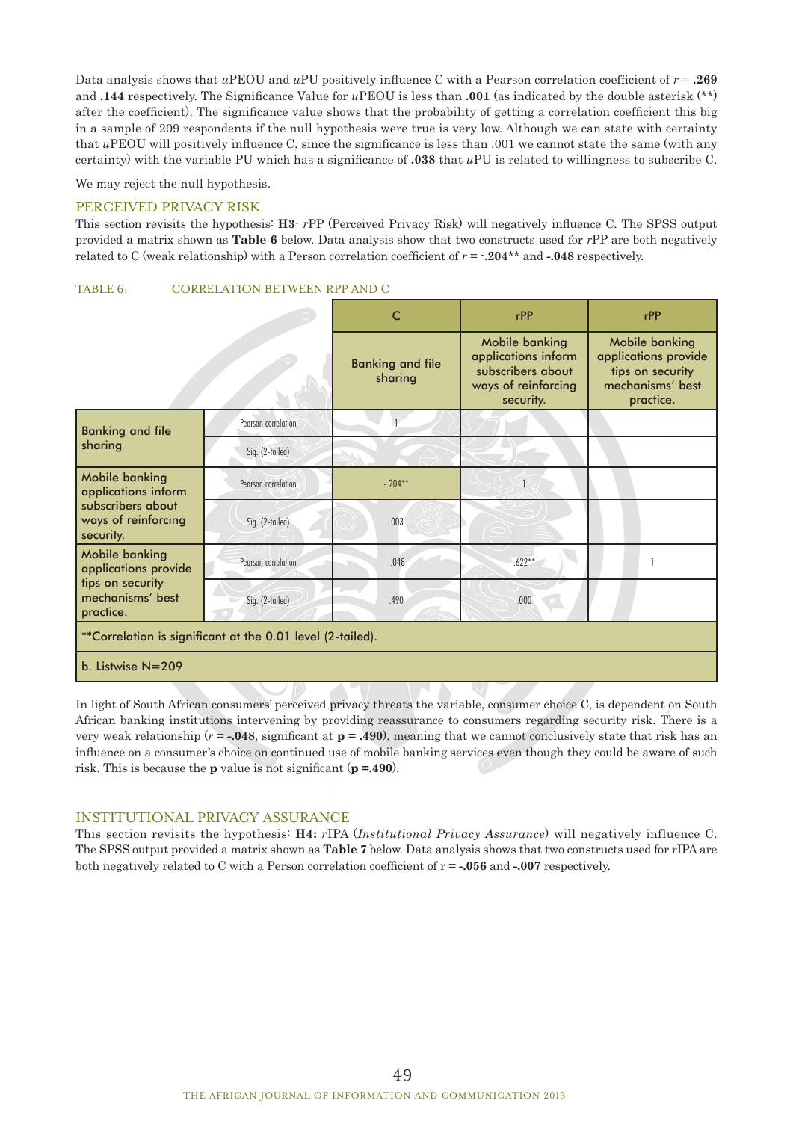Data analysis shows that *u*PEOU and *u*PU positively influence C with a Pearson correlation coefficient of *r* = **.269**  and **.144** respectively. The Significance Value for *u*PEOU is less than **.001** (as indicated by the double asterisk (\*\*) after the coefficient). The significance value shows that the probability of getting a correlation coefficient this big in a sample of 209 respondents if the null hypothesis were true is very low. Although we can state with certainty that *u*PEOU will positively influence C, since the significance is less than .001 we cannot state the same (with any certainty) with the variable PU which has a significance of **.038** that *u*PU is related to willingness to subscribe C.

We may reject the null hypothesis.

## PERCEIVED PRIVACY RISK

This section revisits the hypothesis: **H3**- *r*PP (Perceived Privacy Risk) will negatively influence C. The SPSS output provided a matrix shown as **Table 6** below. Data analysis show that two constructs used for *r*PP are both negatively related to C (weak relationship) with a Person correlation coefficient of *r* = -.**204**\*\* and **-.048** respectively.

### TABLE 6: CORRELATION BETWEEN RPP AND C

|                                                                                                |                     | $\mathsf{C}$                       | rPP                                                                                            | rPP                                                                                         |
|------------------------------------------------------------------------------------------------|---------------------|------------------------------------|------------------------------------------------------------------------------------------------|---------------------------------------------------------------------------------------------|
|                                                                                                |                     | <b>Banking and file</b><br>sharing | Mobile banking<br>applications inform<br>subscribers about<br>ways of reinforcing<br>security. | Mobile banking<br>applications provide<br>tips on security<br>mechanisms' best<br>practice. |
| <b>Banking and file</b>                                                                        | Pearson correlation |                                    |                                                                                                |                                                                                             |
| sharing                                                                                        | Sig. (2-tailed)     |                                    |                                                                                                |                                                                                             |
| Mobile banking<br>applications inform<br>subscribers about<br>ways of reinforcing<br>security. | Pearson correlation | $-.204**$                          |                                                                                                |                                                                                             |
|                                                                                                | Sig. (2-tailed)     | .003                               |                                                                                                |                                                                                             |
| Mobile banking<br>applications provide                                                         | Pearson correlation | $-.048$                            | $.622**$                                                                                       |                                                                                             |
| tips on security<br>mechanisms' best<br>practice.                                              | Sig. (2-tailed)     | .490                               | .000                                                                                           |                                                                                             |
| **Correlation is significant at the 0.01 level (2-tailed).                                     |                     |                                    |                                                                                                |                                                                                             |
| b. Listwise $N=209$                                                                            |                     |                                    |                                                                                                |                                                                                             |

In light of South African consumers' perceived privacy threats the variable, consumer choice C, is dependent on South African banking institutions intervening by providing reassurance to consumers regarding security risk. There is a very weak relationship  $(r = -0.048)$ , significant at  $p = .490$ , meaning that we cannot conclusively state that risk has an influence on a consumer's choice on continued use of mobile banking services even though they could be aware of such risk. This is because the **p** value is not significant (**p =.490**).

#### INSTITUTIONAL PRIVACY ASSURANCE

This section revisits the hypothesis: **H4:** *r*IPA (*Institutional Privacy Assurance*) will negatively influence C. The SPSS output provided a matrix shown as **Table 7** below. Data analysis shows that two constructs used for rIPA are both negatively related to C with a Person correlation coefficient of r = **-.056** and **-.007** respectively.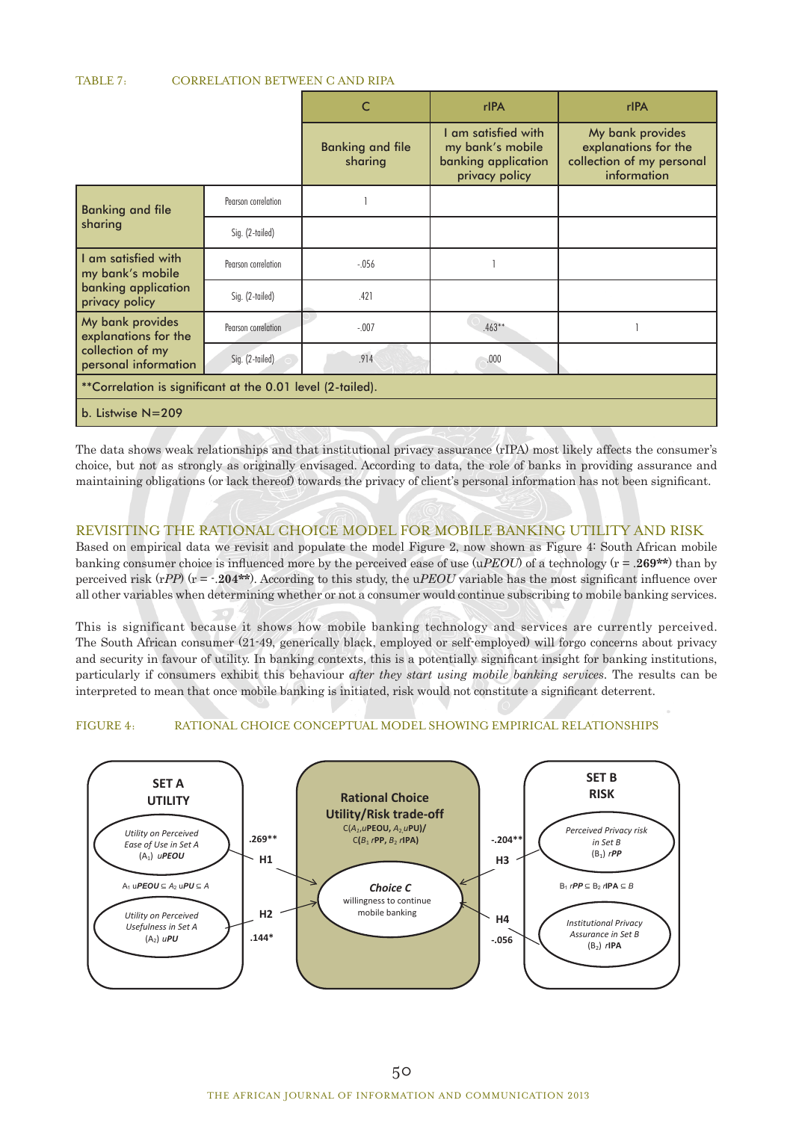#### TABLE 7: CORRELATION BETWEEN C AND RIPA

|                                          |                                                            | C                                  | rlPA                                                                             | rIPA                                                                                 |  |
|------------------------------------------|------------------------------------------------------------|------------------------------------|----------------------------------------------------------------------------------|--------------------------------------------------------------------------------------|--|
|                                          |                                                            | <b>Banking and file</b><br>sharing | I am satisfied with<br>my bank's mobile<br>banking application<br>privacy policy | My bank provides<br>explanations for the<br>collection of my personal<br>information |  |
| Banking and file                         | Pearson correlation                                        |                                    |                                                                                  |                                                                                      |  |
| sharing                                  | Sig. (2-tailed)                                            |                                    |                                                                                  |                                                                                      |  |
| I am satisfied with<br>my bank's mobile  | Pearson correlation                                        | $-.056$                            |                                                                                  |                                                                                      |  |
| banking application<br>privacy policy    | Sig. (2-tailed)                                            | .421                               |                                                                                  |                                                                                      |  |
| My bank provides<br>explanations for the | Pearson correlation                                        | $-.007$                            | $.463**$                                                                         |                                                                                      |  |
| collection of my<br>personal information | Sig. (2-tailed)                                            | .914                               | .000                                                                             |                                                                                      |  |
|                                          | **Correlation is significant at the 0.01 level (2-tailed). |                                    |                                                                                  |                                                                                      |  |
| b. Listwise $N = 209$                    |                                                            |                                    |                                                                                  |                                                                                      |  |

The data shows weak relationships and that institutional privacy assurance (rIPA) most likely affects the consumer's choice, but not as strongly as originally envisaged. According to data, the role of banks in providing assurance and maintaining obligations (or lack thereof) towards the privacy of client's personal information has not been significant.

# REVISITING THE RATIONAL CHOICE MODEL FOR MOBILE BANKING UTILITY AND RISK

Based on empirical data we revisit and populate the model Figure 2, now shown as Figure 4: South African mobile banking consumer choice is influenced more by the perceived ease of use (u*PEOU*) of a technology (r = .**269\*\***) than by perceived risk (r*PP*) (r = -.**204\*\***). According to this study, the u*PEOU* variable has the most significant influence over all other variables when determining whether or not a consumer would continue subscribing to mobile banking services.

This is significant because it shows how mobile banking technology and services are currently perceived. The South African consumer (21-49, generically black, employed or self-employed) will forgo concerns about privacy and security in favour of utility. In banking contexts, this is a potentially significant insight for banking institutions, particularly if consumers exhibit this behaviour *after they start using mobile banking services*. The results can be interpreted to mean that once mobile banking is initiated, risk would not constitute a significant deterrent.

## FIGURE 4: RATIONAL CHOICE CONCEPTUAL MODEL SHOWING EMPIRICAL RELATIONSHIPS

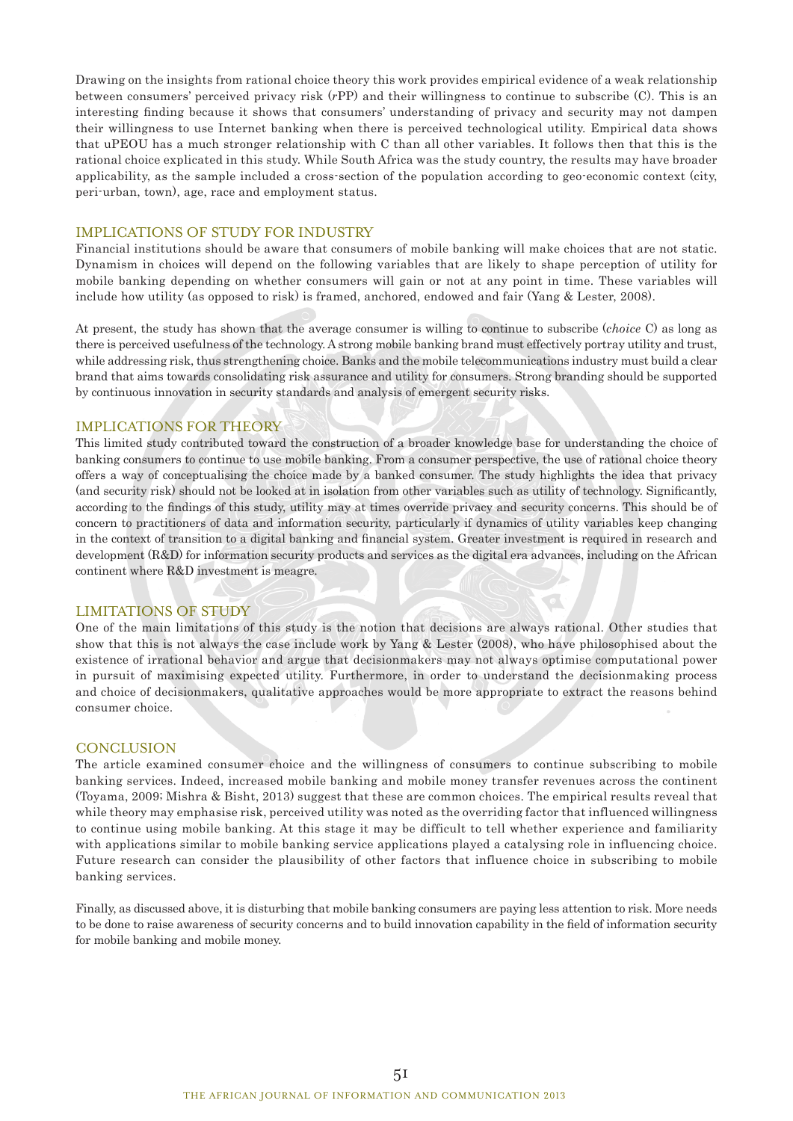Drawing on the insights from rational choice theory this work provides empirical evidence of a weak relationship between consumers' perceived privacy risk (*r*PP) and their willingness to continue to subscribe (C). This is an interesting finding because it shows that consumers' understanding of privacy and security may not dampen their willingness to use Internet banking when there is perceived technological utility. Empirical data shows that uPEOU has a much stronger relationship with C than all other variables. It follows then that this is the rational choice explicated in this study. While South Africa was the study country, the results may have broader applicability, as the sample included a cross-section of the population according to geo-economic context (city, peri-urban, town), age, race and employment status.

## IMPLICATIONS OF STUDY FOR INDUSTRY

Financial institutions should be aware that consumers of mobile banking will make choices that are not static. Dynamism in choices will depend on the following variables that are likely to shape perception of utility for mobile banking depending on whether consumers will gain or not at any point in time. These variables will include how utility (as opposed to risk) is framed, anchored, endowed and fair (Yang & Lester, 2008).

At present, the study has shown that the average consumer is willing to continue to subscribe (*choice* C) as long as there is perceived usefulness of the technology. A strong mobile banking brand must effectively portray utility and trust, while addressing risk, thus strengthening choice. Banks and the mobile telecommunications industry must build a clear brand that aims towards consolidating risk assurance and utility for consumers. Strong branding should be supported by continuous innovation in security standards and analysis of emergent security risks.

#### IMPLICATIONS FOR THEORY

This limited study contributed toward the construction of a broader knowledge base for understanding the choice of banking consumers to continue to use mobile banking. From a consumer perspective, the use of rational choice theory offers a way of conceptualising the choice made by a banked consumer. The study highlights the idea that privacy (and security risk) should not be looked at in isolation from other variables such as utility of technology. Significantly, according to the findings of this study, utility may at times override privacy and security concerns. This should be of concern to practitioners of data and information security, particularly if dynamics of utility variables keep changing in the context of transition to a digital banking and financial system. Greater investment is required in research and development (R&D) for information security products and services as the digital era advances, including on the African continent where R&D investment is meagre.

#### LIMITATIONS OF STUDY

One of the main limitations of this study is the notion that decisions are always rational. Other studies that show that this is not always the case include work by Yang & Lester (2008), who have philosophised about the existence of irrational behavior and argue that decisionmakers may not always optimise computational power in pursuit of maximising expected utility. Furthermore, in order to understand the decisionmaking process and choice of decisionmakers, qualitative approaches would be more appropriate to extract the reasons behind consumer choice.

#### **CONCLUSION**

The article examined consumer choice and the willingness of consumers to continue subscribing to mobile banking services. Indeed, increased mobile banking and mobile money transfer revenues across the continent (Toyama, 2009; Mishra & Bisht, 2013) suggest that these are common choices. The empirical results reveal that while theory may emphasise risk, perceived utility was noted as the overriding factor that influenced willingness to continue using mobile banking. At this stage it may be difficult to tell whether experience and familiarity with applications similar to mobile banking service applications played a catalysing role in influencing choice. Future research can consider the plausibility of other factors that influence choice in subscribing to mobile banking services.

Finally, as discussed above, it is disturbing that mobile banking consumers are paying less attention to risk. More needs to be done to raise awareness of security concerns and to build innovation capability in the field of information security for mobile banking and mobile money.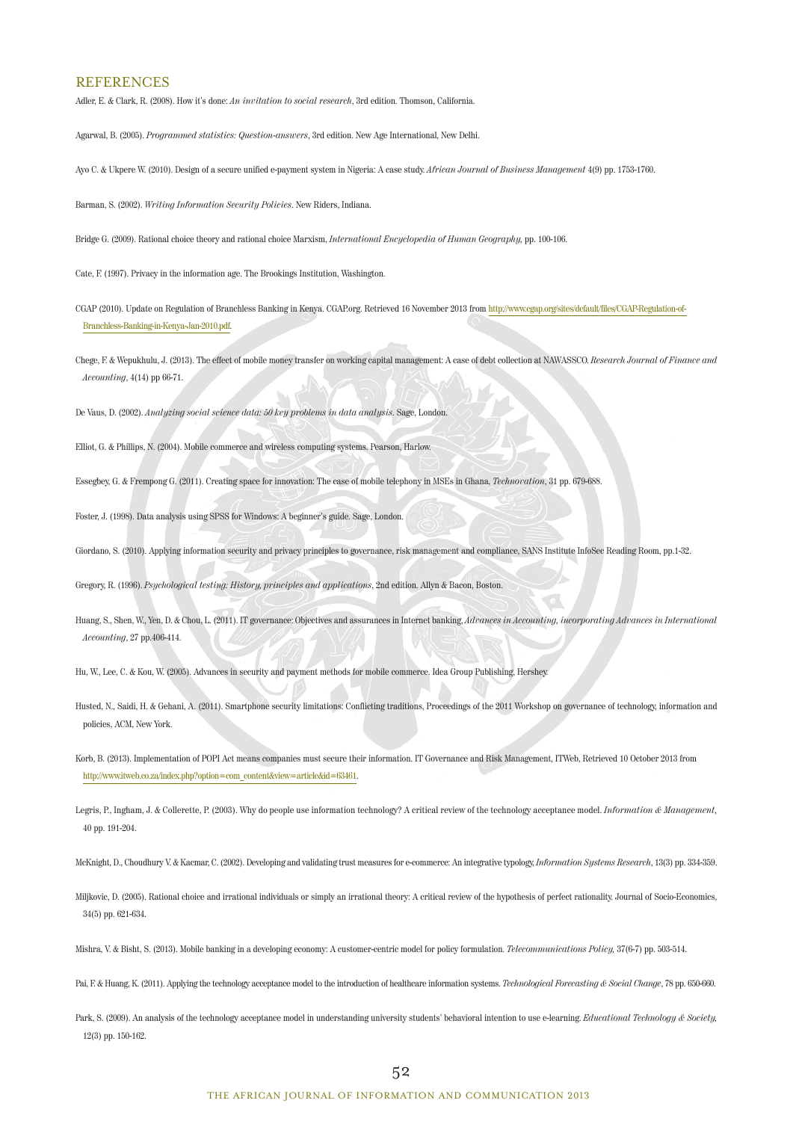#### **REFERENCES**

Adler, E. & Clark, R. (2008). How it's done: *An invitation to social research*, 3rd edition. Thomson, California.

Agarwal, B. (2005). *Programmed statistics: Question-answers*, 3rd edition. New Age International, New Delhi.

Ayo C. & Ukpere W. (2010). Design of a secure unified e-payment system in Nigeria: A case study. *African Journal of Business Management* 4(9) pp. 1753-1760.

Barman, S. (2002). *Writing Information Security Policies*. New Riders, Indiana.

Bridge G. (2009). Rational choice theory and rational choice Marxism, *International Encyclopedia of Human Geography,* pp. 100-106.

Cate, F. (1997). Privacy in the information age. The Brookings Institution, Washington.

CGAP (2010). Update on Regulation of Branchless Banking in Kenya. CGAP.org. Retrieved 16 November 2013 from http://www.cgap.org/sites/default/files/CGAP-Regulation-of-Branchless-Banking-in-Kenya-Jan-2010.pdf.

Chege, F. & Wepukhulu, J. (2013). The effect of mobile money transfer on working capital management: A case of debt collection at NAWASSCO. *Research Journal of Finance and Accounting*, 4(14) pp 66-71.

De Vaus, D. (2002). *Analyzing social science data: 50 key problems in data analysis*. Sage, London.

Elliot, G. & Phillips, N. (2004). Mobile commerce and wireless computing systems. Pearson, Harlow.

Essegbey, G. & Frempong G. (2011). Creating space for innovation: The case of mobile telephony in MSEs in Ghana, *Technovation*, 31 pp. 679-688.

Foster, J. (1998). Data analysis using SPSS for Windows: A beginner's guide. Sage, London.

Giordano, S. (2010). Applying information security and privacy principles to governance, risk management and compliance, SANS Institute InfoSec Reading Room, pp.1-32.

Gregory, R. (1996). *Psychological testing: History, principles and applications*, 2nd edition. Allyn & Bacon, Boston.

- Huang, S., Shen, W., Yen, D. & Chou, L. (2011). IT governance: Objectives and assurances in Internet banking, *Advances in Accounting, incorporating Advances in International Accounting*, 27 pp.406-414.
- Hu, W., Lee, C. & Kou, W. (2005). Advances in security and payment methods for mobile commerce. Idea Group Publishing, Hershey.
- Husted, N., Saidi, H. & Gehani, A. (2011). Smartphone security limitations: Conflicting traditions, Proceedings of the 2011 Workshop on governance of technology, information and policies, ACM, New York.
- Korb, B. (2013). Implementation of POPI Act means companies must secure their information. IT Governance and Risk Management, ITWeb, Retrieved 10 October 2013 from http://www.itweb.co.za/index.php?option=com\_content&view=article&id=63461.
- Legris, P., Ingham, J. & Collerette, P. (2003). Why do people use information technology? A critical review of the technology acceptance model. *Information & Management,* 40 pp. 191-204.

McKnight, D., Choudhury V. & Kacmar, C. (2002). Developing and validating trust measures for e-commerce: An integrative typology, *Information Systems Research*, 13(3) pp. 334-359.

Miljkovic, D. (2005). Rational choice and irrational individuals or simply an irrational theory: A critical review of the hypothesis of perfect rationality. Journal of Socio-Economics, 34(5) pp. 621-634.

Mishra, V. & Bisht, S. (2013). Mobile banking in a developing economy: A customer-centric model for policy formulation. *Telecommunications Policy,* 37(6-7) pp. 503-514.

Pai, F. & Huang, K. (2011). Applying the technology acceptance model to the introduction of healthcare information systems. *Technological Forecasting & Social Change*, 78 pp. 650-660.

Park, S. (2009). An analysis of the technology acceptance model in understanding university students' behavioral intention to use e-learning. *Educational Technology & Society*, 12(3) pp. 150-162.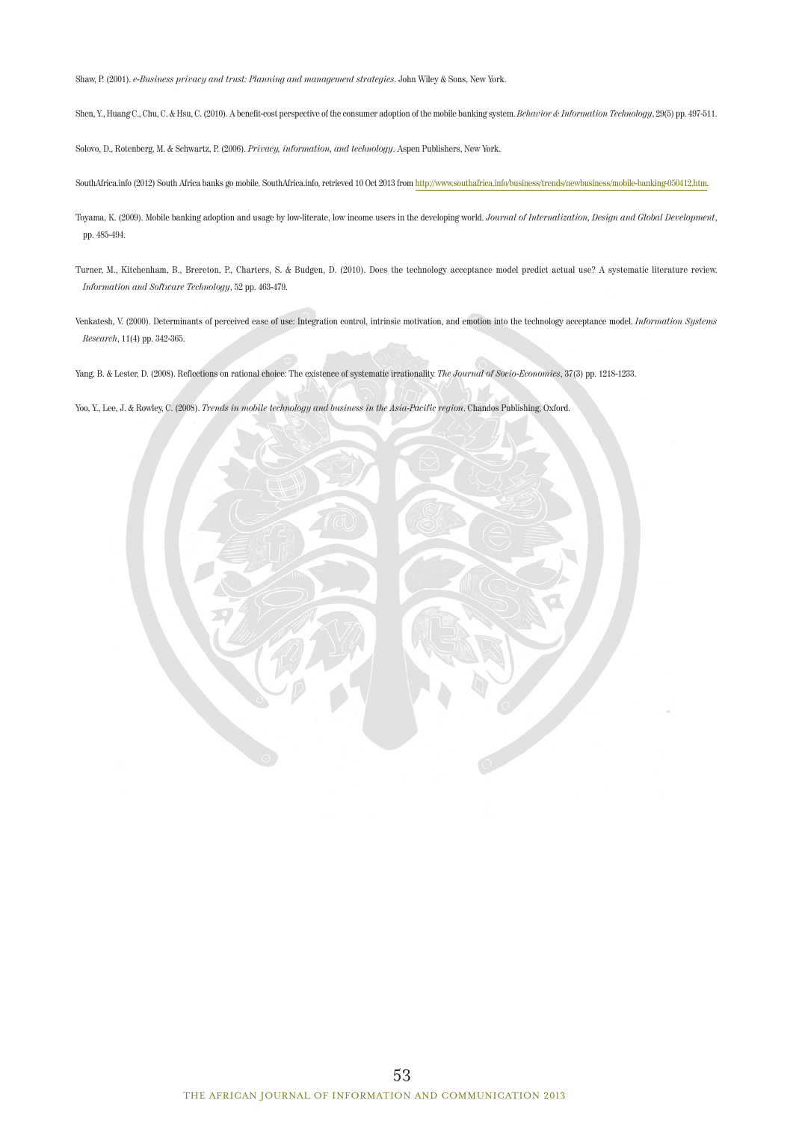Shaw, P. (2001). *e-Business privacy and trust: Planning and management strategies*. John Wiley & Sons, New York.

Shen, Y., Huang C., Chu, C. & Hsu, C. (2010). A benefit-cost perspective of the consumer adoption of the mobile banking system. *Behavior & Information Technology*, 29(5) pp. 497-511.

Solovo, D., Rotenberg, M. & Schwartz, P. (2006). *Privacy, information, and technology*. Aspen Publishers, New York.

SouthAfrica.info (2012) South Africa banks go mobile. SouthAfrica.info, retrieved 10 Oct 2013 from http://www.southafrica.info/business/trends/newbusiness/mobile-banking-050412.htm.

- Toyama, K. (2009). Mobile banking adoption and usage by low-literate, low income users in the developing world. *Journal of Internalization, Design and Global Development*, pp. 485-494.
- Turner, M., Kitchenham, B., Brereton, P., Charters, S. & Budgen, D. (2010). Does the technology acceptance model predict actual use? A systematic literature review. *Information and Software Technology*, 52 pp. 463-479.
- Venkatesh, V. (2000). Determinants of perceived ease of use: Integration control, intrinsic motivation, and emotion into the technology acceptance model. *Information Systems Research*, 11(4) pp. 342-365.

Yang, B. & Lester, D. (2008). Reflections on rational choice: The existence of systematic irrationality. *The Journal of Socio-Economics*, 37(3) pp. 1218-1233.

Yoo, Y., Lee, J. & Rowley, C. (2008). *Trends in mobile technology and business in the Asia-Pacific region*. Chandos Publishing, Oxford.

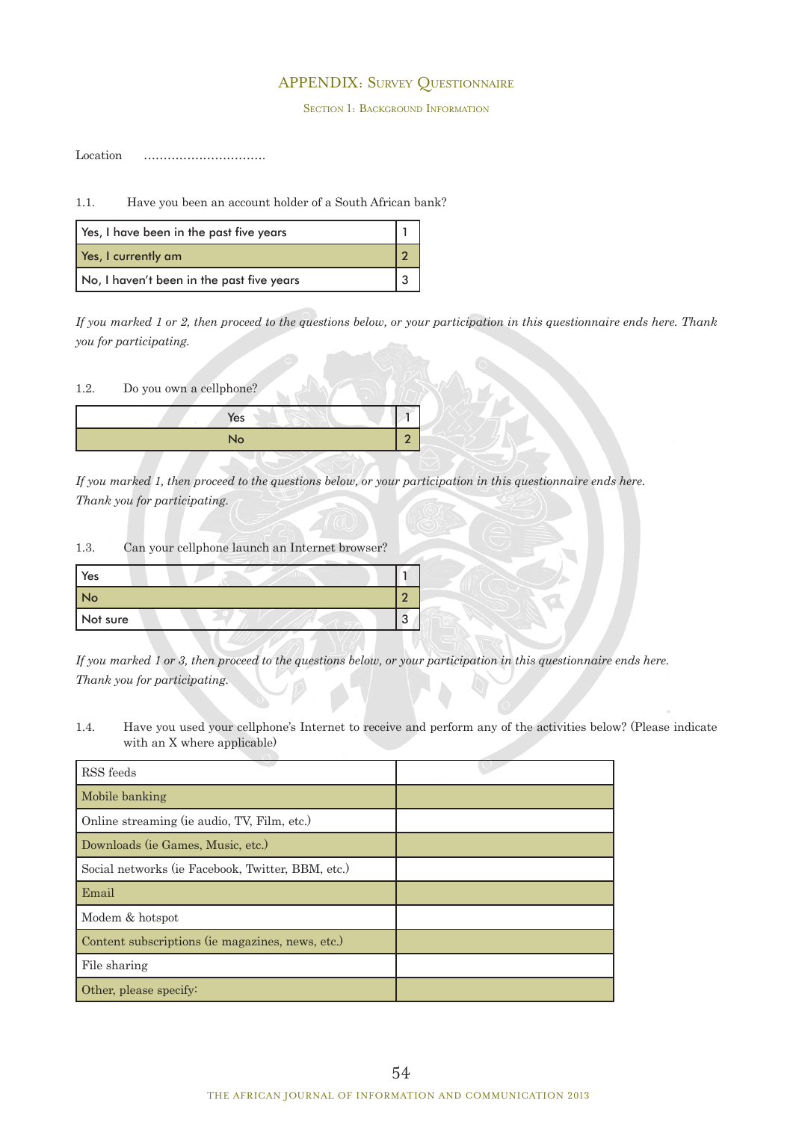# APPENDIX: Survey Questionnaire

SECTION 1: BACKGROUND INFORMATION

Location ………………………….

1.1. Have you been an account holder of a South African bank?

| Yes, I have been in the past five years   |  |
|-------------------------------------------|--|
| Yes, I currently am                       |  |
| No, I haven't been in the past five years |  |

*If you marked 1 or 2, then proceed to the questions below, or your participation in this questionnaire ends here. Thank you for participating.*

1.2. Do you own a cellphone?

| Yes            |  |
|----------------|--|
| No <sup></sup> |  |

*If you marked 1, then proceed to the questions below, or your participation in this questionnaire ends here. Thank you for participating.*

## 1.3. Can your cellphone launch an Internet browser?

| Yes      |  |
|----------|--|
| No       |  |
| Not sure |  |

*If you marked 1 or 3, then proceed to the questions below, or your participation in this questionnaire ends here. Thank you for participating.*

1.4. Have you used your cellphone's Internet to receive and perform any of the activities below? (Please indicate with an X where applicable)

| RSS feeds                                         |  |
|---------------------------------------------------|--|
| Mobile banking                                    |  |
| Online streaming (ie audio, TV, Film, etc.)       |  |
| Downloads (ie Games, Music, etc.)                 |  |
| Social networks (ie Facebook, Twitter, BBM, etc.) |  |
| Email                                             |  |
| Modem & hotspot                                   |  |
| Content subscriptions (ie magazines, news, etc.)  |  |
| File sharing                                      |  |
| Other, please specify:                            |  |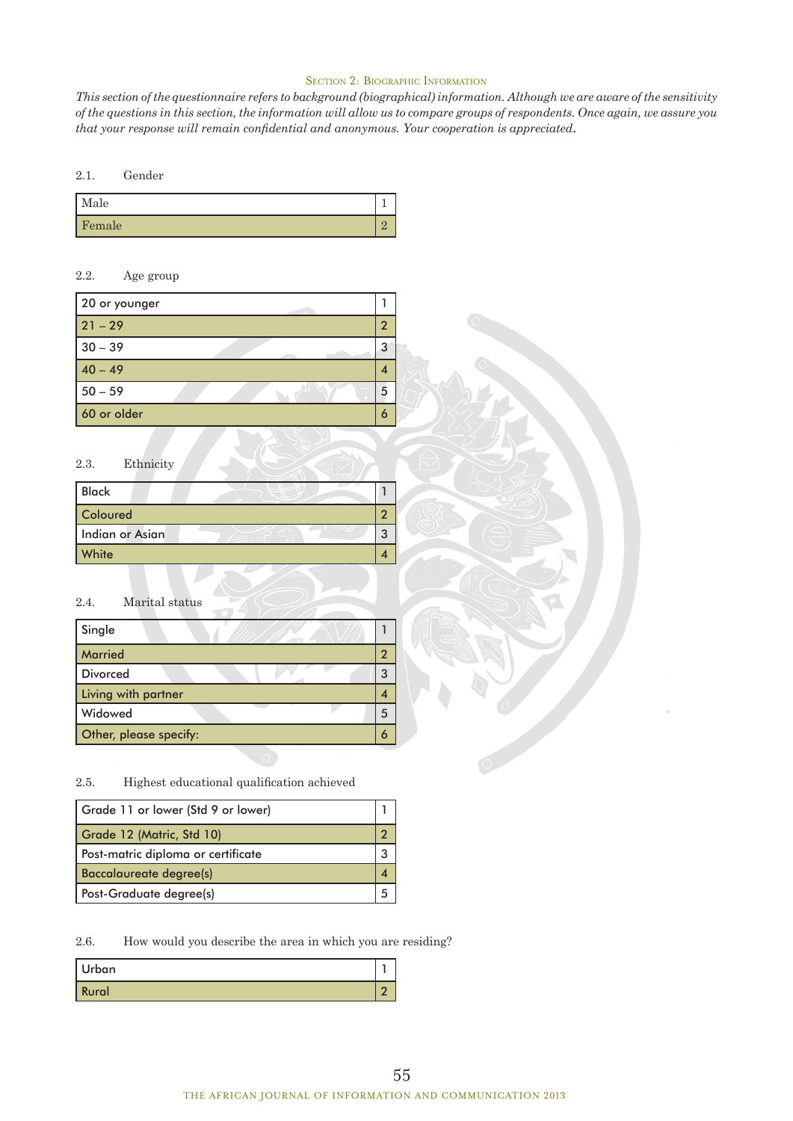#### SECTION 2: BIOGRAPHIC INFORMATION

*This section of the questionnaire refers to background (biographical) information. Although we are aware of the sensitivity of the questions in this section, the information will allow us to compare groups of respondents. Once again, we assure you that your response will remain confidential and anonymous. Your cooperation is appreciated*.

#### 2.1. Gender

| Male   |  |
|--------|--|
| Female |  |

# 2.2. Age group

| 20 or younger |   |
|---------------|---|
| $21 - 29$     | າ |
| $30 - 39$     | 3 |
| $40 - 49$     |   |
| $50 - 59$     | 5 |
| 60 or older   |   |

#### 2.3. Ethnicity

| <b>Black</b>    |   |
|-----------------|---|
| Coloured        |   |
| Indian or Asian | 3 |
| White           |   |

## 2.4. Marital status

| Single                 |  |
|------------------------|--|
| <b>Married</b>         |  |
| <b>Divorced</b>        |  |
| Living with partner    |  |
| Widowed                |  |
| Other, please specify: |  |

# 2.5. Highest educational qualification achieved

| Grade 11 or lower (Std 9 or lower) |   |  |  |  |  |
|------------------------------------|---|--|--|--|--|
| Grade 12 (Matric, Std 10)          |   |  |  |  |  |
| Post-matric diploma or certificate | З |  |  |  |  |
| <b>Baccalaureate degree(s)</b>     |   |  |  |  |  |
| Post-Graduate degree(s)            |   |  |  |  |  |

2.6. How would you describe the area in which you are residing?

| ' Urban      |   |
|--------------|---|
| <b>Rural</b> | c |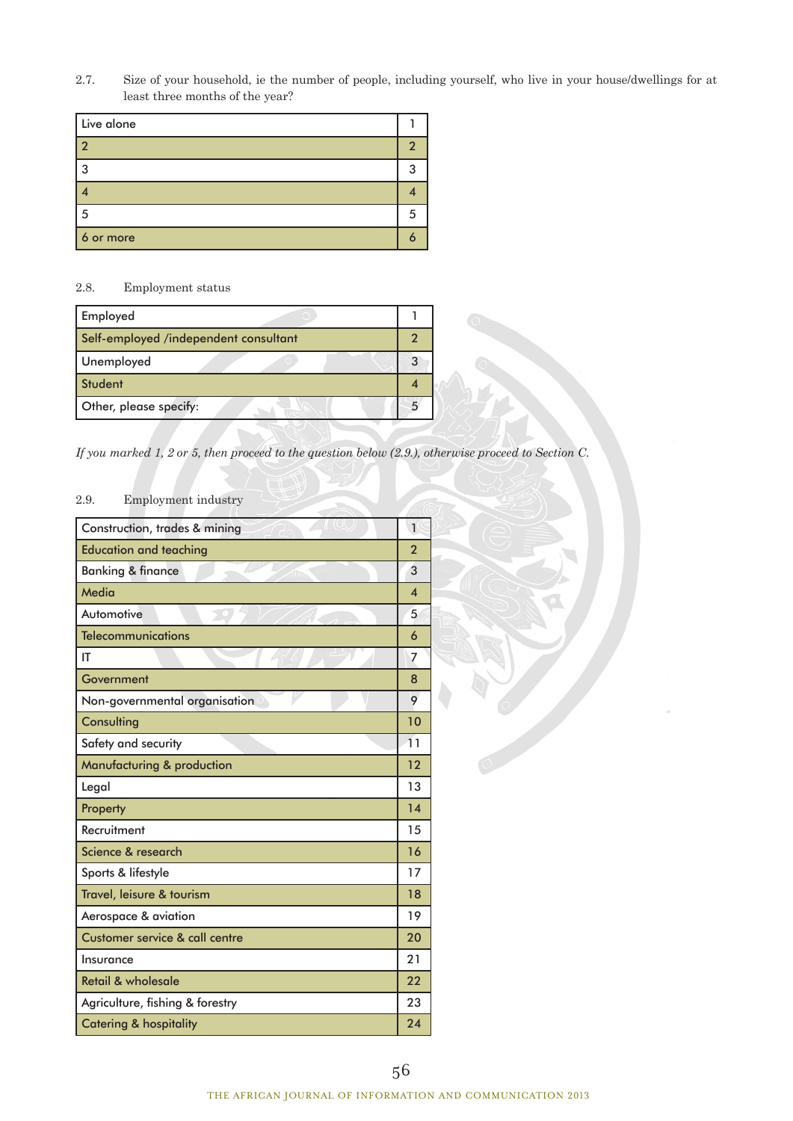2.7. Size of your household, ie the number of people, including yourself, who live in your house/dwellings for at least three months of the year?

| Live alone |   |
|------------|---|
| ່າ         | ົ |
| 3          |   |
|            |   |
| 5          |   |
| 6 or more  |   |

## 2.8. Employment status

| Employed                              |  |
|---------------------------------------|--|
| Self-employed /independent consultant |  |
| Unemployed                            |  |
| Student                               |  |
| Other, please specify:                |  |

*If you marked 1, 2 or 5, then proceed to the question below (2.9.), otherwise proceed to Section C.*

# 2.9. Employment industry

| Construction, trades & mining                | $\mathbf{1}$   |
|----------------------------------------------|----------------|
| <b>Education and teaching</b>                | $\overline{2}$ |
| <b>Banking &amp; finance</b><br>$\sqrt{10n}$ | 3              |
| Media                                        | 4              |
| Automotive                                   | 5              |
| <b>Telecommunications</b>                    | 6              |
| ΙT                                           | 7              |
| Government                                   | 8              |
| Non-governmental organisation                | 9              |
| Consulting                                   | 10             |
| Safety and security                          | 11             |
| Manufacturing & production                   | 12             |
| Legal                                        | 13             |
| Property                                     | 14             |
| Recruitment                                  | 15             |
| Science & research                           | 16             |
| Sports & lifestyle                           | 17             |
| Travel, leisure & tourism                    | 18             |
| Aerospace & aviation                         | 19             |
| <b>Customer service &amp; call centre</b>    | 20             |
| Insurance                                    | 21             |
| Retail & wholesale                           | 22             |
| Agriculture, fishing & forestry              | 23             |
| <b>Catering &amp; hospitality</b>            | 24             |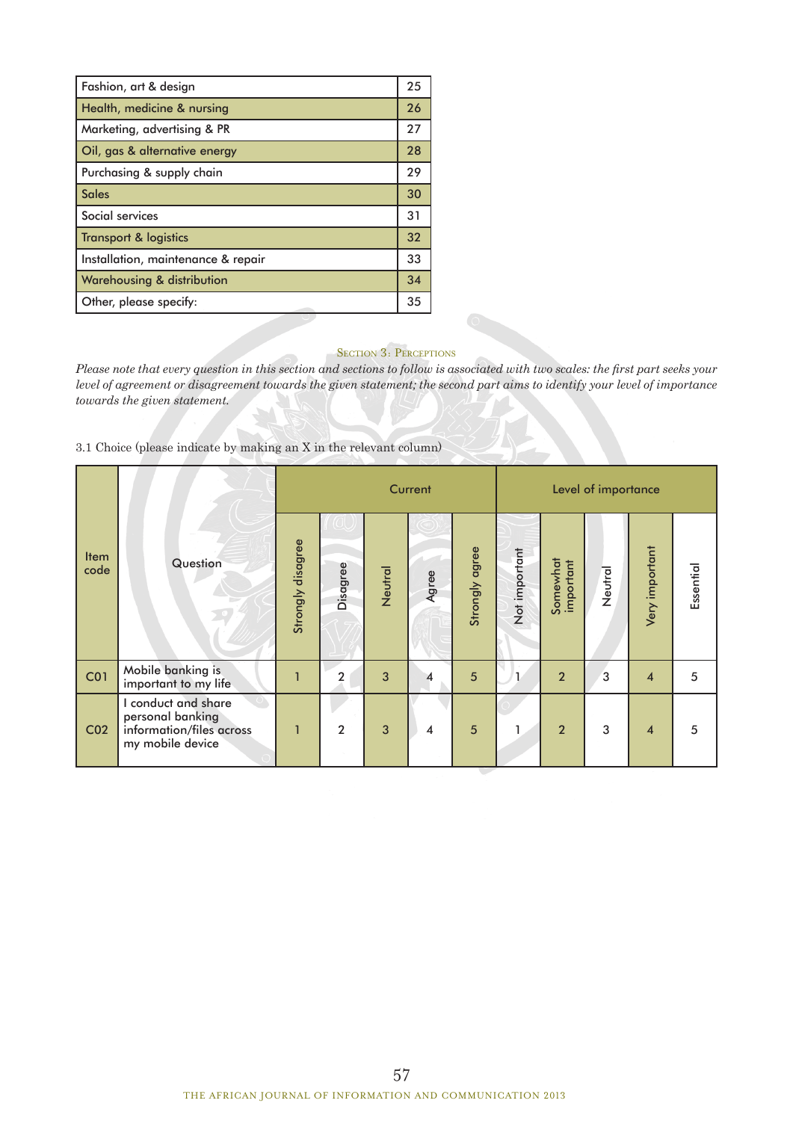| Fashion, art & design              | 25 |
|------------------------------------|----|
| Health, medicine & nursing         | 26 |
| Marketing, advertising & PR        | 27 |
| Oil, gas & alternative energy      | 28 |
| Purchasing & supply chain          | 29 |
| <b>Sales</b>                       | 30 |
| Social services                    | 31 |
| <b>Transport &amp; logistics</b>   | 32 |
| Installation, maintenance & repair | 33 |
| Warehousing & distribution         | 34 |
| Other, please specify:             | 35 |

## SECTION 3: PERCEPTIONS

*Please note that every question in this section and sections to follow is associated with two scales: the first part seeks your level of agreement or disagreement towards the given statement; the second part aims to identify your level of importance towards the given statement.*

3.1 Choice (please indicate by making an X in the relevant column)

|                     |                                                                                         |                   |                |         | Current |                | Level of importance |                       |         |                         |           |
|---------------------|-----------------------------------------------------------------------------------------|-------------------|----------------|---------|---------|----------------|---------------------|-----------------------|---------|-------------------------|-----------|
| <b>Item</b><br>code | Question                                                                                | Strongly disagree | Disagree       | Neutral | Agree   | Strongly agree | Not important       | Somewhat<br>important | Neutral | Very important          | Essential |
| CO <sub>1</sub>     | Mobile banking is<br>important to my life                                               |                   | 2              | 3       |         | 5              |                     | $\overline{2}$        | 3       | $\overline{\mathbf{4}}$ | 5         |
| CO <sub>2</sub>     | I conduct and share<br>personal banking<br>information/files across<br>my mobile device |                   | $\overline{2}$ | 3       | 4       | $5\phantom{1}$ |                     | $\overline{2}$        | 3       | $\overline{\mathbf{4}}$ | 5         |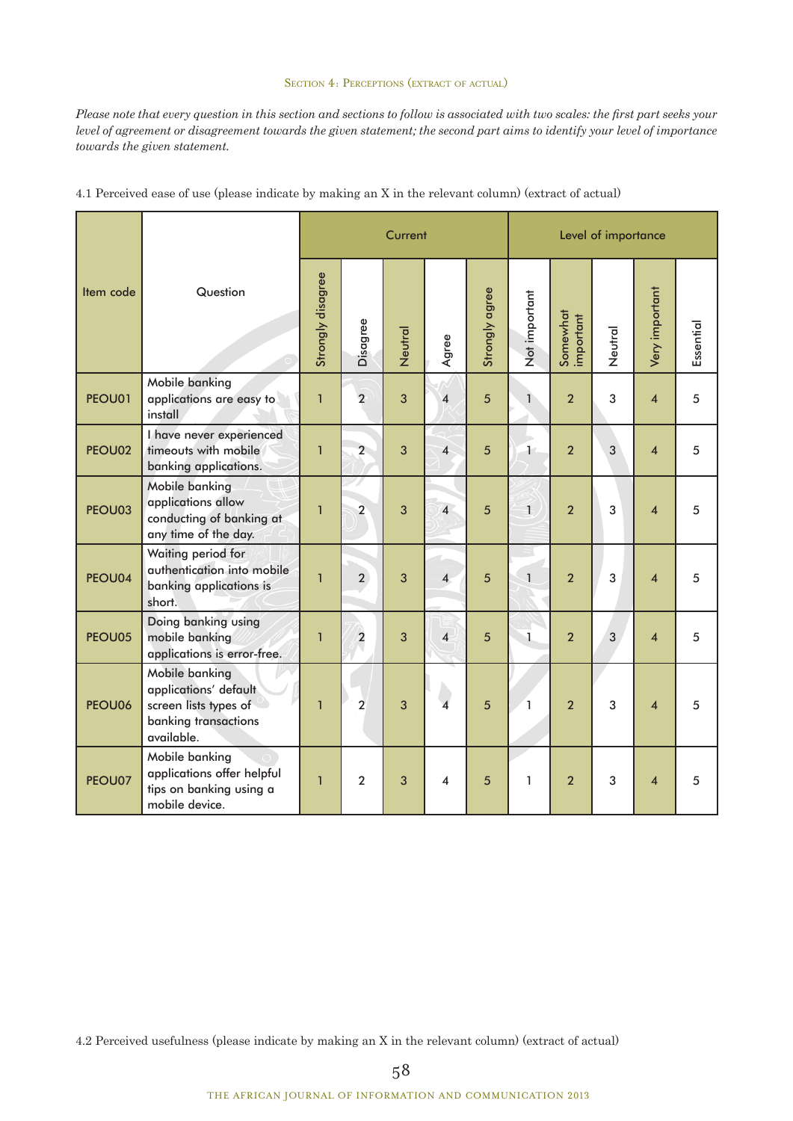## SECTION 4: PERCEPTIONS (EXTRACT OF ACTUAL)

*Please note that every question in this section and sections to follow is associated with two scales: the first part seeks your level of agreement or disagreement towards the given statement; the second part aims to identify your level of importance towards the given statement.*

|           |                                                                                                        |                   |                | Current |                         |                | Level of importance  |                       |         |                         |           |
|-----------|--------------------------------------------------------------------------------------------------------|-------------------|----------------|---------|-------------------------|----------------|----------------------|-----------------------|---------|-------------------------|-----------|
| Item code | Question                                                                                               | Strongly disagree | Disagree       | Neutral | Agree                   | Strongly agree | Not important        | Somewhat<br>important | Neutral | Very important          | Essential |
| PEOU01    | Mobile banking<br>applications are easy to<br>install                                                  | $\mathbf{1}$      | $\overline{2}$ | 3       | 4                       | 5              | $\mathbf{1}$         | $\overline{2}$        | 3       | $\overline{\mathbf{4}}$ | 5         |
| PEOU02    | I have never experienced<br>timeouts with mobile<br>banking applications.                              | $\mathbf{1}$      | $\overline{2}$ | 3       | $\overline{4}$          | 5              | $\ddot{\phantom{1}}$ | $\overline{2}$        | 3       | $\overline{\mathbf{4}}$ | 5         |
| PEOU03    | Mobile banking<br>applications allow<br>conducting of banking at<br>any time of the day.               | $\overline{1}$    | $\overline{2}$ | 3       | $\overline{4}$          | 5              | $\mathbf{1}$         | $\overline{2}$        | 3       | $\overline{\mathbf{4}}$ | 5         |
| PEOU04    | Waiting period for<br>authentication into mobile<br>banking applications is<br>short.                  | $\overline{1}$    | $\overline{2}$ | 3       | $\overline{\mathbf{4}}$ | 5              | $\mathbf{1}$         | $\overline{2}$        | 3       | $\overline{\mathbf{4}}$ | 5         |
| PEOU05    | Doing banking using<br>mobile banking<br>applications is error-free.                                   | $\mathbf{1}$      | $\overline{2}$ | 3       | $\overline{\mathbf{4}}$ | 5              | $\mathbf{1}$         | $\overline{2}$        | 3       | $\overline{\mathbf{4}}$ | 5         |
| PEOU06    | Mobile banking<br>applications' default<br>screen lists types of<br>banking transactions<br>available. | $\mathbf{1}$      | $\overline{2}$ | 3       | $\overline{\mathbf{A}}$ | 5              | $\mathbf{1}$         | $\overline{2}$        | 3       | $\overline{\mathbf{4}}$ | 5         |
| PEOU07    | Mobile banking<br>applications offer helpful<br>tips on banking using a<br>mobile device.              | $\mathbf{1}$      | $\overline{2}$ | 3       | $\overline{\mathbf{4}}$ | 5              | 1                    | $\overline{2}$        | 3       | $\overline{\mathbf{4}}$ | 5         |

4.1 Perceived ease of use (please indicate by making an X in the relevant column) (extract of actual)

4.2 Perceived usefulness (please indicate by making an X in the relevant column) (extract of actual)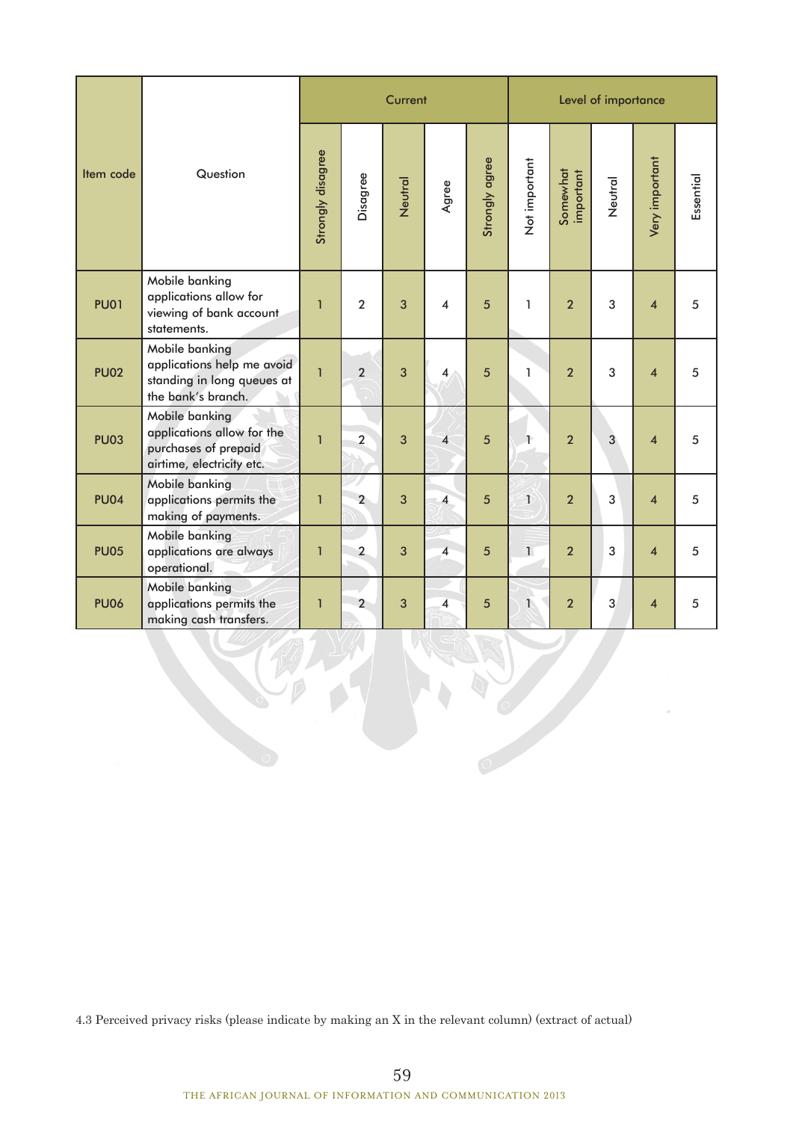|             |                                                                                                   |                   |                | Current |                         |                | Level of importance |                       |         |                         |           |
|-------------|---------------------------------------------------------------------------------------------------|-------------------|----------------|---------|-------------------------|----------------|---------------------|-----------------------|---------|-------------------------|-----------|
| Item code   | Question                                                                                          | Strongly disagree | Disagree       | Neutral | Agree                   | Strongly agree | Not important       | Somewhat<br>important | Neutral | Very important          | Essential |
| <b>PU01</b> | Mobile banking<br>applications allow for<br>viewing of bank account<br>statements.                | $\mathbf{1}$      | $\overline{2}$ | 3       | 4                       | 5              | 1                   | $\overline{2}$        | 3       | $\overline{\mathbf{4}}$ | 5         |
| <b>PU02</b> | Mobile banking<br>applications help me avoid<br>standing in long queues at<br>the bank's branch.  | $\mathbf{1}$      | $\overline{2}$ | 3       | 4                       | 5              | 1                   | $\overline{2}$        | 3       | $\overline{4}$          | 5         |
| <b>PU03</b> | Mobile banking<br>applications allow for the<br>purchases of prepaid<br>airtime, electricity etc. | $\mathbf{1}$      | $\overline{2}$ | 3       | $\overline{\mathbf{4}}$ | 5              | Ŧ                   | $\overline{2}$        | 3       | $\overline{\mathbf{4}}$ | 5         |
| <b>PU04</b> | Mobile banking<br>applications permits the<br>making of payments.                                 | $\mathbf{1}$      | $\overline{2}$ | 3       | 4                       | 5              | $\mathbf{1}$        | $\overline{2}$        | 3       | $\overline{\mathbf{4}}$ | 5         |
| <b>PU05</b> | Mobile banking<br>applications are always<br>operational.                                         | $\mathbf{1}$      | $\overline{2}$ | 3       | $\overline{\mathbf{4}}$ | 5              | $\overline{1}$      | $\overline{2}$        | 3       | $\overline{\mathbf{4}}$ | 5         |
| <b>PU06</b> | Mobile banking<br>applications permits the<br>making cash transfers.                              | $\mathbf{1}$      | $\overline{2}$ | 3       | 4                       | 5              | $\mathbf{1}$        | $\overline{2}$        | 3       | $\overline{\mathbf{4}}$ | 5         |

4.3 Perceived privacy risks (please indicate by making an X in the relevant column) (extract of actual)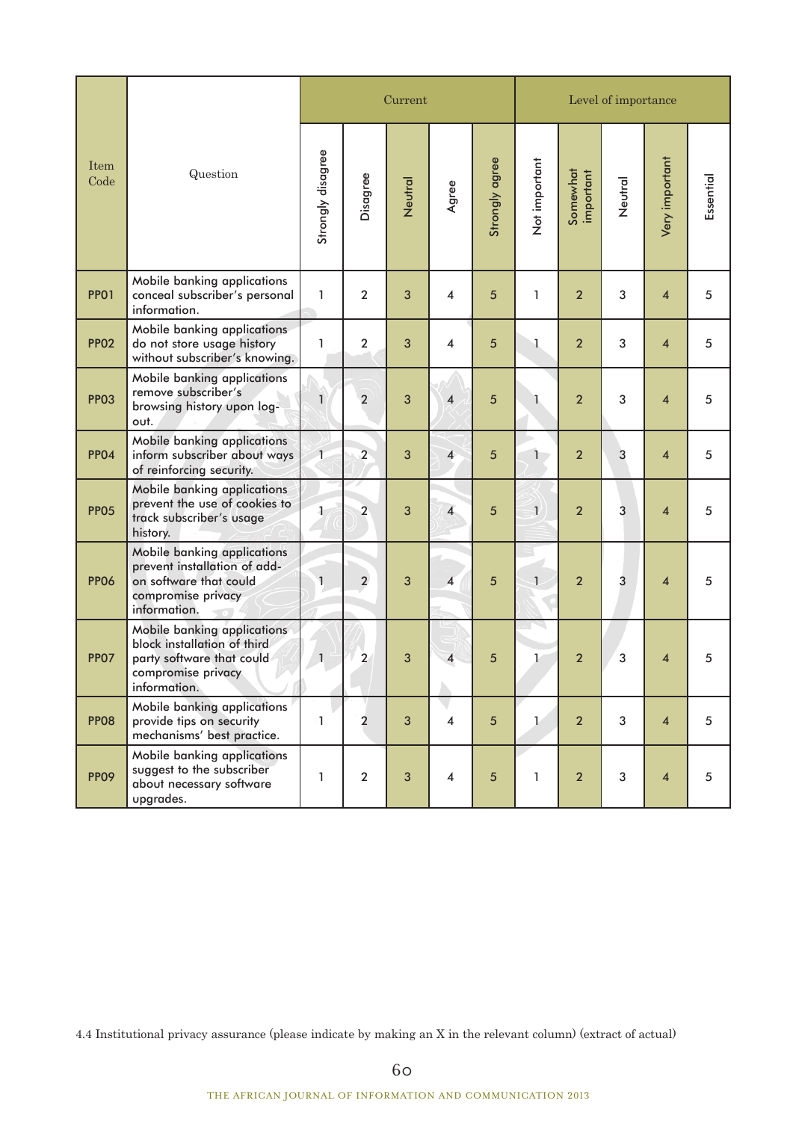|              | Question                                                                                                                      |                   |                         | Current |                          |                | Level of importance |                       |         |                         |           |  |
|--------------|-------------------------------------------------------------------------------------------------------------------------------|-------------------|-------------------------|---------|--------------------------|----------------|---------------------|-----------------------|---------|-------------------------|-----------|--|
| Item<br>Code |                                                                                                                               | Strongly disagree | Disagree                | Neutral | Agree                    | Strongly agree | Not important       | Somewhat<br>important | Neutral | Very important          | Essential |  |
| <b>PP01</b>  | Mobile banking applications<br>conceal subscriber's personal<br>information.                                                  | 1                 | $\overline{2}$          | 3       | $\overline{\mathbf{4}}$  | 5              | 1                   | $\overline{2}$        | 3       | $\overline{\mathbf{4}}$ | 5         |  |
| <b>PP02</b>  | Mobile banking applications<br>do not store usage history<br>without subscriber's knowing.                                    | 1                 | $\overline{2}$          | 3       | 4                        | 5              | 1.                  | $\overline{2}$        | 3       | $\overline{\mathbf{4}}$ | 5         |  |
| <b>PP03</b>  | Mobile banking applications<br>remove subscriber's<br>browsing history upon log-<br>out.                                      | $\mathbf{1}$      | $\overline{2}$          | 3       | $\overline{\mathbf{4}}$  | 5              |                     | $\overline{2}$        | 3       | $\overline{\mathbf{4}}$ | 5         |  |
| <b>PP04</b>  | Mobile banking applications<br>inform subscriber about ways<br>of reinforcing security.                                       | $\mathbf{L}$      | $\overline{2}$          | 3       | $\overline{\mathcal{A}}$ | 5              | 1                   | $\overline{2}$        | 3       | $\overline{\mathbf{4}}$ | 5         |  |
| <b>PP05</b>  | Mobile banking applications<br>prevent the use of cookies to<br>track subscriber's usage<br>history.                          | 1                 | $\overline{\mathbf{2}}$ | 3       | $\overline{4}$           | 5              | $\mathbf{1}$        | $\overline{2}$        | 3       | $\overline{\mathbf{4}}$ | 5         |  |
| <b>PP06</b>  | Mobile banking applications<br>prevent installation of add-<br>on software that could<br>compromise privacy<br>information.   | 1                 | $\overline{2}$          | 3       | $\overline{4}$           | 5              | $\mathbf{1}$        | $\overline{2}$        | 3       | $\overline{\mathbf{4}}$ | 5         |  |
| <b>PP07</b>  | Mobile banking applications<br>block installation of third<br>party software that could<br>compromise privacy<br>information. | $\mathbf{1}$      | $\overline{2}$          | 3       | 4                        | 5              | 1                   | $\overline{2}$        | 3       | $\overline{\mathbf{4}}$ | 5         |  |
| <b>PP08</b>  | Mobile banking applications<br>provide tips on security<br>mechanisms' best practice.                                         | 1                 | $\overline{2}$          | 3       | $\overline{4}$           | $5\phantom{.}$ | Ł                   | $\overline{2}$        | 3       | $\overline{4}$          | 5         |  |
| <b>PP09</b>  | Mobile banking applications<br>suggest to the subscriber<br>about necessary software<br>upgrades.                             | 1                 | $\overline{2}$          | 3       | $\overline{4}$           | 5              | 1                   | $\overline{2}$        | 3       | $\overline{\mathbf{4}}$ | 5         |  |

4.4 Institutional privacy assurance (please indicate by making an X in the relevant column) (extract of actual)